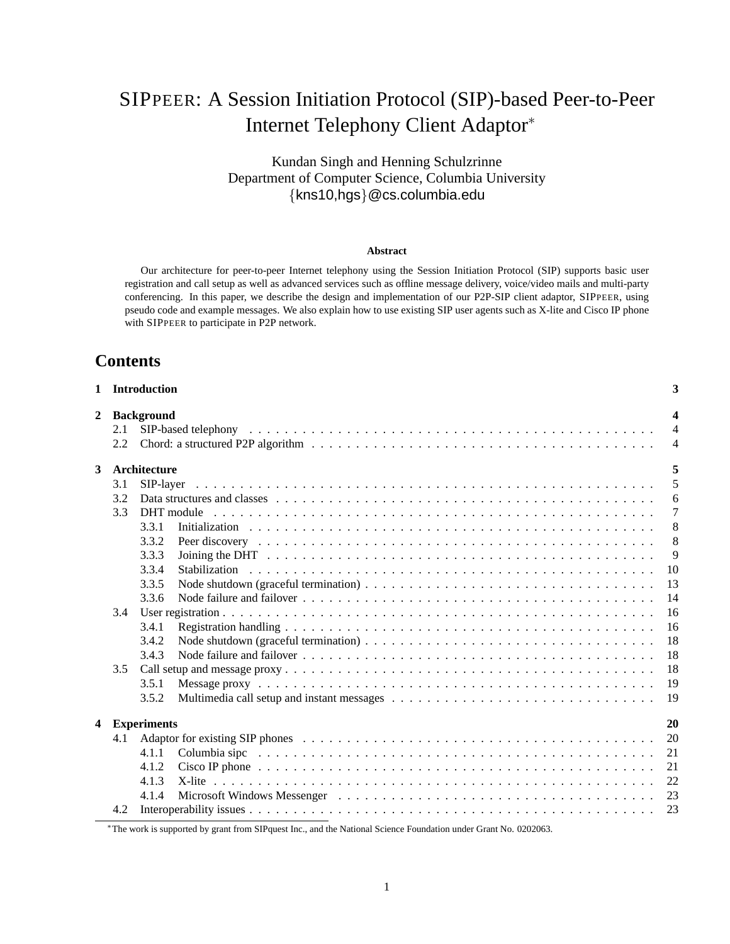# SIPPEER: A Session Initiation Protocol (SIP)-based Peer-to-Peer Internet Telephony Client Adaptor<sup>∗</sup>

Kundan Singh and Henning Schulzrinne Department of Computer Science, Columbia University {kns10,hgs}@cs.columbia.edu

#### **Abstract**

Our architecture for peer-to-peer Internet telephony using the Session Initiation Protocol (SIP) supports basic user registration and call setup as well as advanced services such as offline message delivery, voice/video mails and multi-party conferencing. In this paper, we describe the design and implementation of our P2P-SIP client adaptor, SIPPEER, using pseudo code and example messages. We also explain how to use existing SIP user agents such as X-lite and Cisco IP phone with SIPPEER to participate in P2P network.

# **Contents**

|   |     | 1 Introduction         | 3              |  |
|---|-----|------------------------|----------------|--|
| 2 |     | <b>Background</b><br>4 |                |  |
|   | 2.1 |                        | $\overline{4}$ |  |
|   | 2.2 |                        | $\overline{4}$ |  |
| 3 |     | Architecture           | 5              |  |
|   | 3.1 | SIP-laver              | 5              |  |
|   | 3.2 |                        | 6              |  |
|   | 3.3 | DHT module             | 7              |  |
|   |     | 3.3.1                  | 8              |  |
|   |     | 3.3.2                  | 8              |  |
|   |     | 3.3.3                  | 9              |  |
|   |     | 3.3.4                  | 10             |  |
|   |     | 3.3.5                  | 13             |  |
|   |     | 3.3.6                  | 14             |  |
|   | 3.4 |                        | 16             |  |
|   |     | 3.4.1                  | 16             |  |
|   |     | 3.4.2                  | 18             |  |
|   |     | 3.4.3                  | 18             |  |
|   | 3.5 |                        | 18             |  |
|   |     | 3.5.1                  | 19             |  |
|   |     | 3.5.2                  | 19             |  |
| 4 |     | <b>Experiments</b>     | 20             |  |
|   | 4.1 |                        | 20             |  |
|   |     | 4.1.1                  | 21             |  |
|   |     | 4.1.2                  | 21             |  |
|   |     | 4.1.3                  | 22             |  |
|   |     | 4.1.4                  | 23             |  |
|   | 4.2 |                        | 23             |  |
|   |     |                        |                |  |

∗The work is supported by grant from SIPquest Inc., and the National Science Foundation under Grant No. 0202063.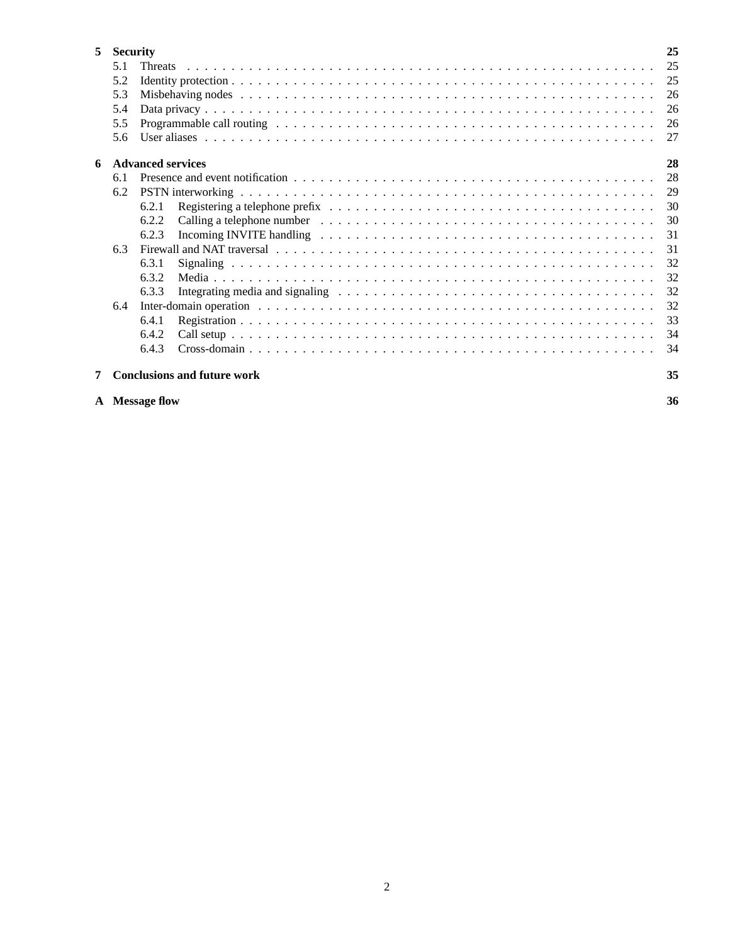| 5 | <b>Security</b> |                                    | 25  |
|---|-----------------|------------------------------------|-----|
|   | 5.1             | <b>Threats</b>                     | 25  |
|   | 5.2             |                                    |     |
|   | 5.3             |                                    | 26  |
|   | 5.4             |                                    | 26  |
|   | 5.5             |                                    | 26  |
|   | 5.6             |                                    | 27  |
| 6 |                 | <b>Advanced services</b>           | 28  |
|   | 6.1             |                                    | 28  |
|   | 6.2             |                                    | 29  |
|   |                 | 6.2.1                              | 30  |
|   |                 | 6.2.2                              | 30  |
|   |                 | 6.2.3                              | 31  |
|   | 6.3             |                                    | 31  |
|   |                 | 6.3.1                              | 32  |
|   |                 | 6.3.2                              | 32  |
|   |                 | 6.3.3                              | 32  |
|   | 6.4             |                                    | 32  |
|   |                 | 6.4.1                              | 33  |
|   |                 | 6.4.2                              | 34  |
|   |                 | 6.4.3                              | -34 |
| 7 |                 | <b>Conclusions and future work</b> | 35  |

**A Message flow 36**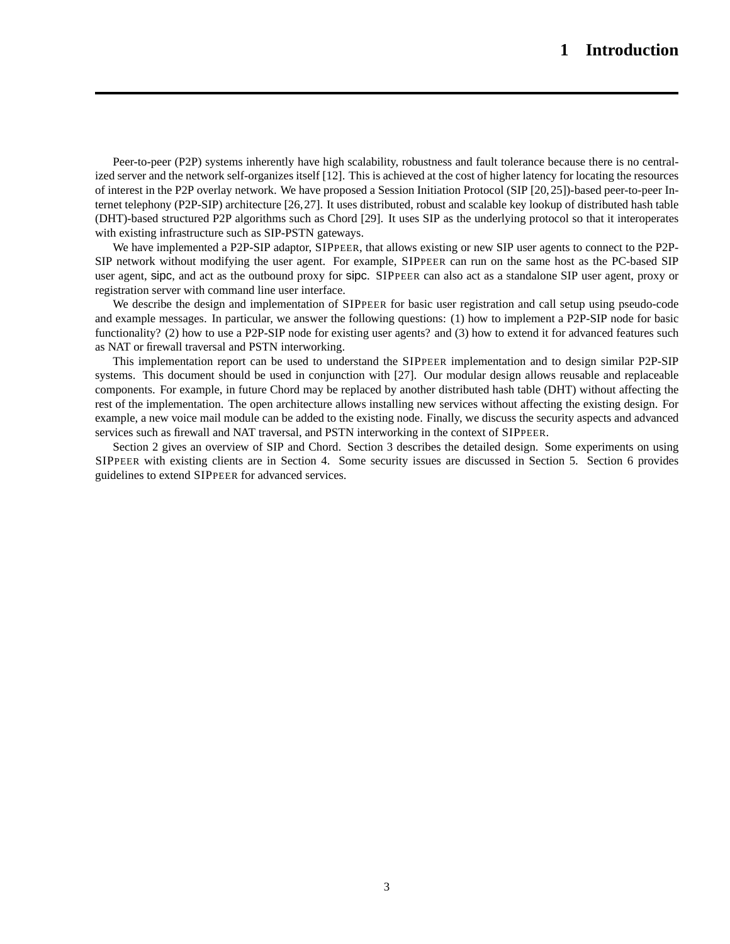Peer-to-peer (P2P) systems inherently have high scalability, robustness and fault tolerance because there is no centralized server and the network self-organizes itself [12]. This is achieved at the cost of higher latency for locating the resources of interest in the P2P overlay network. We have proposed a Session Initiation Protocol (SIP [20,25])-based peer-to-peer Internet telephony (P2P-SIP) architecture [26,27]. It uses distributed, robust and scalable key lookup of distributed hash table (DHT)-based structured P2P algorithms such as Chord [29]. It uses SIP as the underlying protocol so that it interoperates with existing infrastructure such as SIP-PSTN gateways.

We have implemented a P2P-SIP adaptor, SIPPEER, that allows existing or new SIP user agents to connect to the P2P-SIP network without modifying the user agent. For example, SIPPEER can run on the same host as the PC-based SIP user agent, sipc, and act as the outbound proxy for sipc. SIPPEER can also act as a standalone SIP user agent, proxy or registration server with command line user interface.

We describe the design and implementation of SIPPEER for basic user registration and call setup using pseudo-code and example messages. In particular, we answer the following questions: (1) how to implement a P2P-SIP node for basic functionality? (2) how to use a P2P-SIP node for existing user agents? and (3) how to extend it for advanced features such as NAT or firewall traversal and PSTN interworking.

This implementation report can be used to understand the SIPPEER implementation and to design similar P2P-SIP systems. This document should be used in conjunction with [27]. Our modular design allows reusable and replaceable components. For example, in future Chord may be replaced by another distributed hash table (DHT) without affecting the rest of the implementation. The open architecture allows installing new services without affecting the existing design. For example, a new voice mail module can be added to the existing node. Finally, we discuss the security aspects and advanced services such as firewall and NAT traversal, and PSTN interworking in the context of SIPPEER.

Section 2 gives an overview of SIP and Chord. Section 3 describes the detailed design. Some experiments on using SIPPEER with existing clients are in Section 4. Some security issues are discussed in Section 5. Section 6 provides guidelines to extend SIPPEER for advanced services.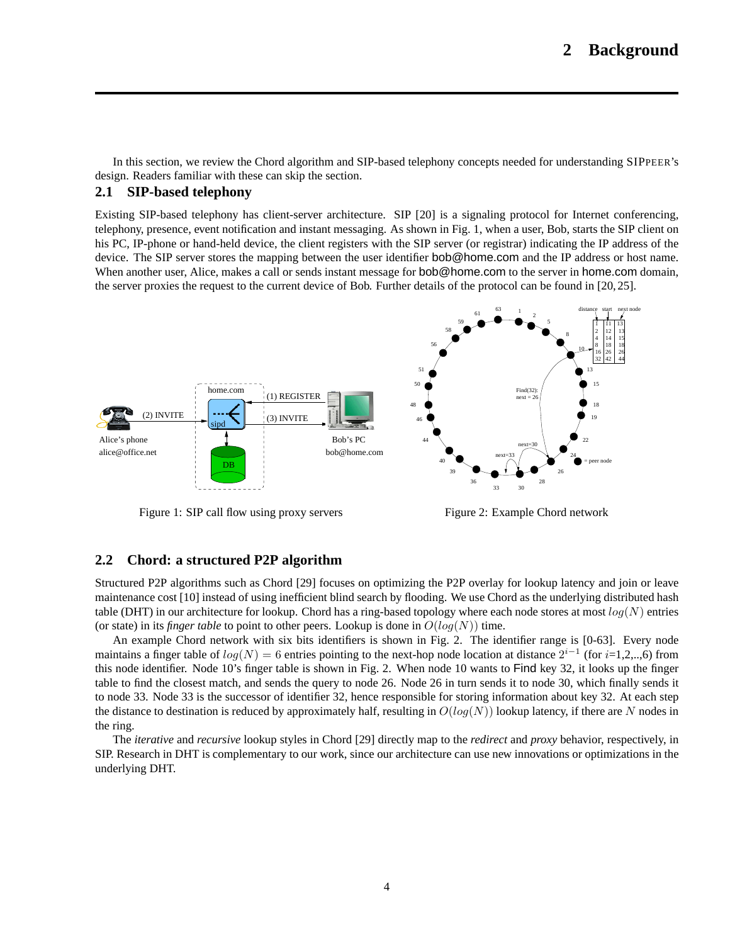In this section, we review the Chord algorithm and SIP-based telephony concepts needed for understanding SIPPEER's design. Readers familiar with these can skip the section.

### **2.1 SIP-based telephony**

Existing SIP-based telephony has client-server architecture. SIP [20] is a signaling protocol for Internet conferencing, telephony, presence, event notification and instant messaging. As shown in Fig. 1, when a user, Bob, starts the SIP client on his PC, IP-phone or hand-held device, the client registers with the SIP server (or registrar) indicating the IP address of the device. The SIP server stores the mapping between the user identifier bob@home.com and the IP address or host name. When another user, Alice, makes a call or sends instant message for **bob@home.com** to the server in **home.com** domain, the server proxies the request to the current device of Bob. Further details of the protocol can be found in [20, 25].



Figure 1: SIP call flow using proxy servers

Figure 2: Example Chord network

### **2.2 Chord: a structured P2P algorithm**

Structured P2P algorithms such as Chord [29] focuses on optimizing the P2P overlay for lookup latency and join or leave maintenance cost [10] instead of using inefficient blind search by flooding. We use Chord as the underlying distributed hash table (DHT) in our architecture for lookup. Chord has a ring-based topology where each node stores at most  $log(N)$  entries (or state) in its *finger table* to point to other peers. Lookup is done in  $O(log(N))$  time.

An example Chord network with six bits identifiers is shown in Fig. 2. The identifier range is [0-63]. Every node maintains a finger table of  $log(N)=6$  entries pointing to the next-hop node location at distance  $2^{i-1}$  (for  $i=1,2,...,6$ ) from this node identifier. Node 10's finger table is shown in Fig. 2. When node 10 wants to Find key 32, it looks up the finger table to find the closest match, and sends the query to node 26. Node 26 in turn sends it to node 30, which finally sends it to node 33. Node 33 is the successor of identifier 32, hence responsible for storing information about key 32. At each step the distance to destination is reduced by approximately half, resulting in  $O(log(N))$  lookup latency, if there are N nodes in the ring.

The *iterative* and *recursive* lookup styles in Chord [29] directly map to the *redirect* and *proxy* behavior, respectively, in SIP. Research in DHT is complementary to our work, since our architecture can use new innovations or optimizations in the underlying DHT.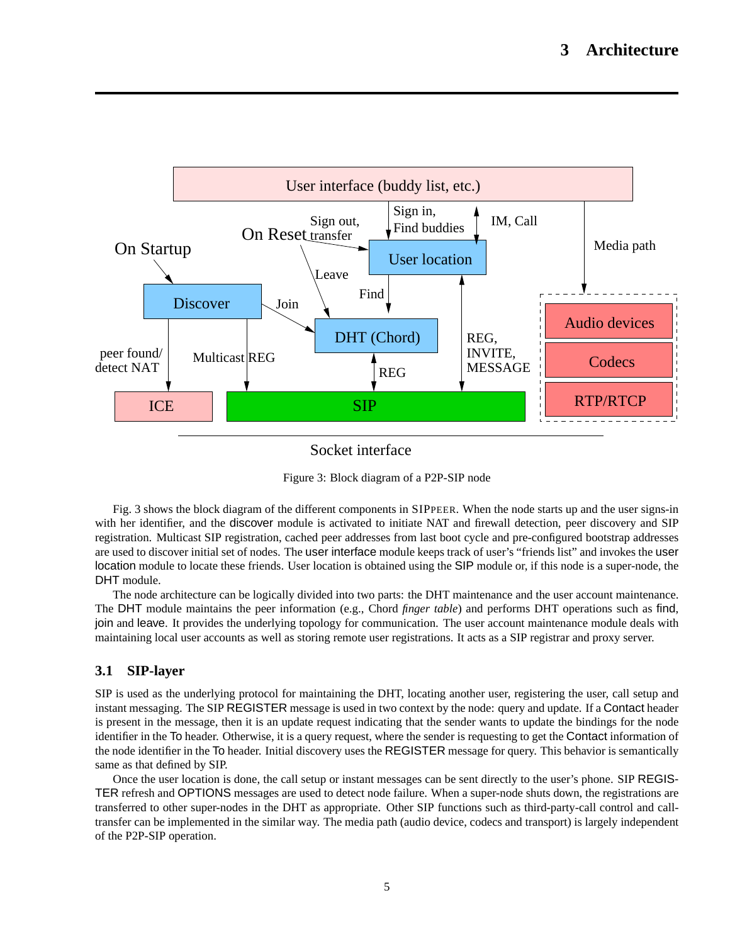

Socket interface

Figure 3: Block diagram of a P2P-SIP node

Fig. 3 shows the block diagram of the different components in SIPPEER. When the node starts up and the user signs-in with her identifier, and the discover module is activated to initiate NAT and firewall detection, peer discovery and SIP registration. Multicast SIP registration, cached peer addresses from last boot cycle and pre-configured bootstrap addresses are used to discover initial set of nodes. The user interface module keeps track of user's "friends list" and invokes the user location module to locate these friends. User location is obtained using the SIP module or, if this node is a super-node, the DHT module.

The node architecture can be logically divided into two parts: the DHT maintenance and the user account maintenance. The DHT module maintains the peer information (e.g., Chord *finger table*) and performs DHT operations such as find, join and leave. It provides the underlying topology for communication. The user account maintenance module deals with maintaining local user accounts as well as storing remote user registrations. It acts as a SIP registrar and proxy server.

## **3.1 SIP-layer**

SIP is used as the underlying protocol for maintaining the DHT, locating another user, registering the user, call setup and instant messaging. The SIP REGISTER message is used in two context by the node: query and update. If a Contact header is present in the message, then it is an update request indicating that the sender wants to update the bindings for the node identifier in the To header. Otherwise, it is a query request, where the sender is requesting to get the Contact information of the node identifier in the To header. Initial discovery uses the REGISTER message for query. This behavior is semantically same as that defined by SIP.

Once the user location is done, the call setup or instant messages can be sent directly to the user's phone. SIP REGIS-TER refresh and OPTIONS messages are used to detect node failure. When a super-node shuts down, the registrations are transferred to other super-nodes in the DHT as appropriate. Other SIP functions such as third-party-call control and calltransfer can be implemented in the similar way. The media path (audio device, codecs and transport) is largely independent of the P2P-SIP operation.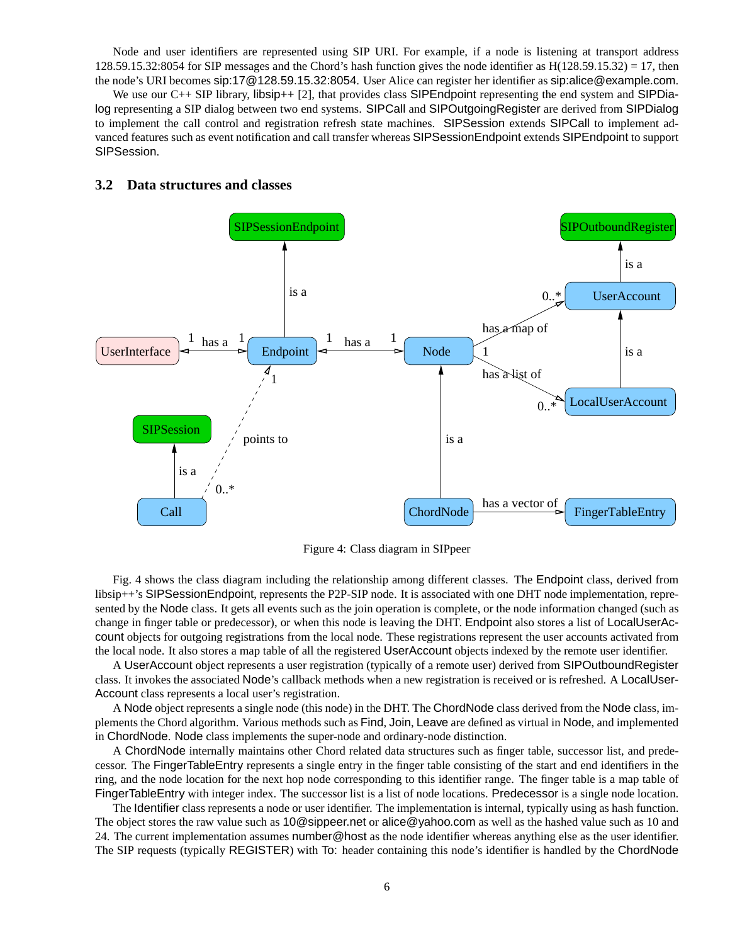Node and user identifiers are represented using SIP URI. For example, if a node is listening at transport address  $128.59.15.32:8054$  for SIP messages and the Chord's hash function gives the node identifier as  $H(128.59.15.32) = 17$ , then the node's URI becomes sip:17@128.59.15.32:8054. User Alice can register her identifier as sip:alice@example.com.

We use our C++ SIP library, libsip++ [2], that provides class SIPEndpoint representing the end system and SIPDialog representing a SIP dialog between two end systems. SIPCall and SIPOutgoingRegister are derived from SIPDialog to implement the call control and registration refresh state machines. SIPSession extends SIPCall to implement advanced features such as event notification and call transfer whereas SIPSessionEndpoint extends SIPEndpoint to support SIPSession.

### **3.2 Data structures and classes**



Figure 4: Class diagram in SIPpeer

Fig. 4 shows the class diagram including the relationship among different classes. The Endpoint class, derived from libsip++'s SIPSessionEndpoint, represents the P2P-SIP node. It is associated with one DHT node implementation, represented by the Node class. It gets all events such as the join operation is complete, or the node information changed (such as change in finger table or predecessor), or when this node is leaving the DHT. Endpoint also stores a list of LocalUserAccount objects for outgoing registrations from the local node. These registrations represent the user accounts activated from the local node. It also stores a map table of all the registered UserAccount objects indexed by the remote user identifier.

A UserAccount object represents a user registration (typically of a remote user) derived from SIPOutboundRegister class. It invokes the associated Node's callback methods when a new registration is received or is refreshed. A LocalUser-Account class represents a local user's registration.

A Node object represents a single node (this node) in the DHT. The ChordNode class derived from the Node class, implements the Chord algorithm. Various methods such as Find, Join, Leave are defined as virtual in Node, and implemented in ChordNode. Node class implements the super-node and ordinary-node distinction.

A ChordNode internally maintains other Chord related data structures such as finger table, successor list, and predecessor. The FingerTableEntry represents a single entry in the finger table consisting of the start and end identifiers in the ring, and the node location for the next hop node corresponding to this identifier range. The finger table is a map table of FingerTableEntry with integer index. The successor list is a list of node locations. Predecessor is a single node location.

The Identifier class represents a node or user identifier. The implementation is internal, typically using as hash function. The object stores the raw value such as 10@sippeer.net or alice@yahoo.com as well as the hashed value such as 10 and 24. The current implementation assumes number@host as the node identifier whereas anything else as the user identifier. The SIP requests (typically REGISTER) with To: header containing this node's identifier is handled by the ChordNode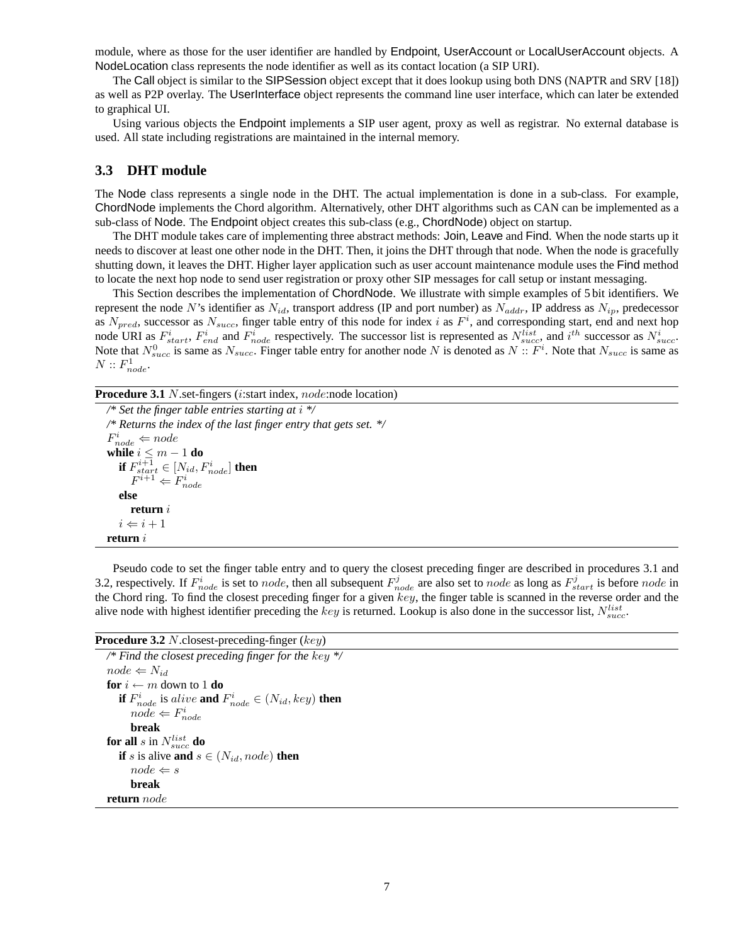module, where as those for the user identifier are handled by Endpoint, UserAccount or LocalUserAccount objects. A NodeLocation class represents the node identifier as well as its contact location (a SIP URI).

The Call object is similar to the SIPSession object except that it does lookup using both DNS (NAPTR and SRV [18]) as well as P2P overlay. The UserInterface object represents the command line user interface, which can later be extended to graphical UI.

Using various objects the Endpoint implements a SIP user agent, proxy as well as registrar. No external database is used. All state including registrations are maintained in the internal memory.

### **3.3 DHT module**

The Node class represents a single node in the DHT. The actual implementation is done in a sub-class. For example, ChordNode implements the Chord algorithm. Alternatively, other DHT algorithms such as CAN can be implemented as a sub-class of Node. The Endpoint object creates this sub-class (e.g., ChordNode) object on startup.

The DHT module takes care of implementing three abstract methods: Join, Leave and Find. When the node starts up it needs to discover at least one other node in the DHT. Then, it joins the DHT through that node. When the node is gracefully shutting down, it leaves the DHT. Higher layer application such as user account maintenance module uses the Find method to locate the next hop node to send user registration or proxy other SIP messages for call setup or instant messaging.

This Section describes the implementation of ChordNode. We illustrate with simple examples of 5 bit identifiers. We represent the node N's identifier as  $N_{id}$ , transport address (IP and port number) as  $N_{addr}$ , IP address as  $N_{ip}$ , predecessor as  $N_{pred}$ , successor as  $N_{succ}$ , finger table entry of this node for index i as  $F<sup>i</sup>$ , and corresponding start, end and next hop node URI as  $F_{start}^i$ ,  $F_{end}^i$  and  $F_{node}^i$  respectively. The successor list is represented as  $N_{succ}^{list}$ , and  $i^{th}$  successor as  $N_{succ}^i$ . Note that  $N_{succ}^{0}$  is same as  $N_{succ}$ . Finger table entry for another node N is denoted as  $N:: F^{i}$ . Note that  $N_{succ}$  is same as  $N:: F^{1}$  $N :: F_{node}^1$ .

Procedure 3.1 N.set-fingers (*i*:start index, *node*:node location)

*/\* Set the finger table entries starting at* i *\*/ /\* Returns the index of the last finger entry that gets set. \*/*  $F_{node}^i \Leftarrow node$ **while**  $i \n≤ m - 1$  **do**<br> **if**  $F_{start}^{i+1} ∈ [N_{id}, F_{node}^i]$  **then**<br>  $F^{i+1} ∈ F_{node}^i$ **else return** i  $i \Leftarrow i + 1$ **return** i

Pseudo code to set the finger table entry and to query the closest preceding finger are described in procedures 3.1 and 3.2, respectively. If  $F_{node}^i$  is set to node, then all subsequent  $F_{node}^j$  are also set to node as long as  $F_{start}^j$  is before node in the Chord ring. To find the closest preceding finger for a given  $key$ , the finger table is scanned in the reverse order and the alive node with highest identifier preceding the key is returned. Lookup is also done in the successor list,  $N_{succ}^{list}$ .

#### **Procedure 3.2** N.closest-preceding-finger (key)

*/\* Find the closest preceding finger for the* key *\*/*  $node \Leftarrow N_{id}$ **for**  $i \leftarrow m$  down to 1 **do if**  $F_{node}^i$  is alive **and**  $F_{node}^i \in (N_{id}, key)$  **then**<br>node  $\leftarrow$   $F^i$  $node \Leftarrow F_{node}^i$ **break for all** s in  $N_{succ}^{list}$  **do if** s is alive **and**  $s \in (N_{id}, node)$  **then**  $node \Leftarrow s$ **break return** node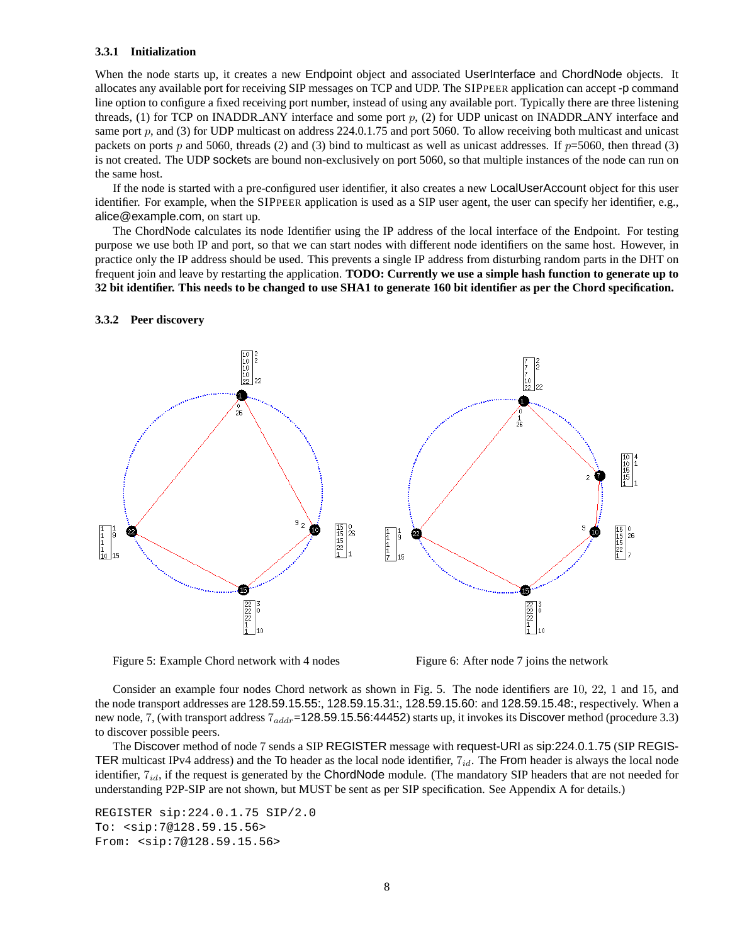#### **3.3.1 Initialization**

When the node starts up, it creates a new Endpoint object and associated UserInterface and ChordNode objects. It allocates any available port for receiving SIP messages on TCP and UDP. The SIPPEER application can accept -p command line option to configure a fixed receiving port number, instead of using any available port. Typically there are three listening threads, (1) for TCP on INADDR ANY interface and some port  $p$ , (2) for UDP unicast on INADDR ANY interface and same port  $p$ , and (3) for UDP multicast on address 224.0.1.75 and port 5060. To allow receiving both multicast and unicast packets on ports p and 5060, threads (2) and (3) bind to multicast as well as unicast addresses. If  $p=5060$ , then thread (3) is not created. The UDP sockets are bound non-exclusively on port 5060, so that multiple instances of the node can run on the same host.

If the node is started with a pre-configured user identifier, it also creates a new LocalUserAccount object for this user identifier. For example, when the SIPPEER application is used as a SIP user agent, the user can specify her identifier, e.g., alice@example.com, on start up.

The ChordNode calculates its node Identifier using the IP address of the local interface of the Endpoint. For testing purpose we use both IP and port, so that we can start nodes with different node identifiers on the same host. However, in practice only the IP address should be used. This prevents a single IP address from disturbing random parts in the DHT on frequent join and leave by restarting the application. **TODO: Currently we use a simple hash function to generate up to 32 bit identifier. This needs to be changed to use SHA1 to generate 160 bit identifier as per the Chord specification.**



**3.3.2 Peer discovery**

Figure 5: Example Chord network with 4 nodes Figure 6: After node 7 joins the network

Consider an example four nodes Chord network as shown in Fig. 5. The node identifiers are 10, 22, 1 and 15, and the node transport addresses are 128.59.15.55:, 128.59.15.31:, 128.59.15.60: and 128.59.15.48:, respectively. When a new node, 7, (with transport address  $7_{addr}$ =128.59.15.56:44452) starts up, it invokes its Discover method (procedure 3.3) to discover possible peers.

The Discover method of node 7 sends a SIP REGISTER message with request-URI as sip:224.0.1.75 (SIP REGIS-TER multicast IPv4 address) and the To header as the local node identifier,  $7_{id}$ . The From header is always the local node identifier,  $7_{id}$ , if the request is generated by the ChordNode module. (The mandatory SIP headers that are not needed for understanding P2P-SIP are not shown, but MUST be sent as per SIP specification. See Appendix A for details.)

```
REGISTER sip:224.0.1.75 SIP/2.0
To: <sip:7@128.59.15.56>
From: <sip:7@128.59.15.56>
```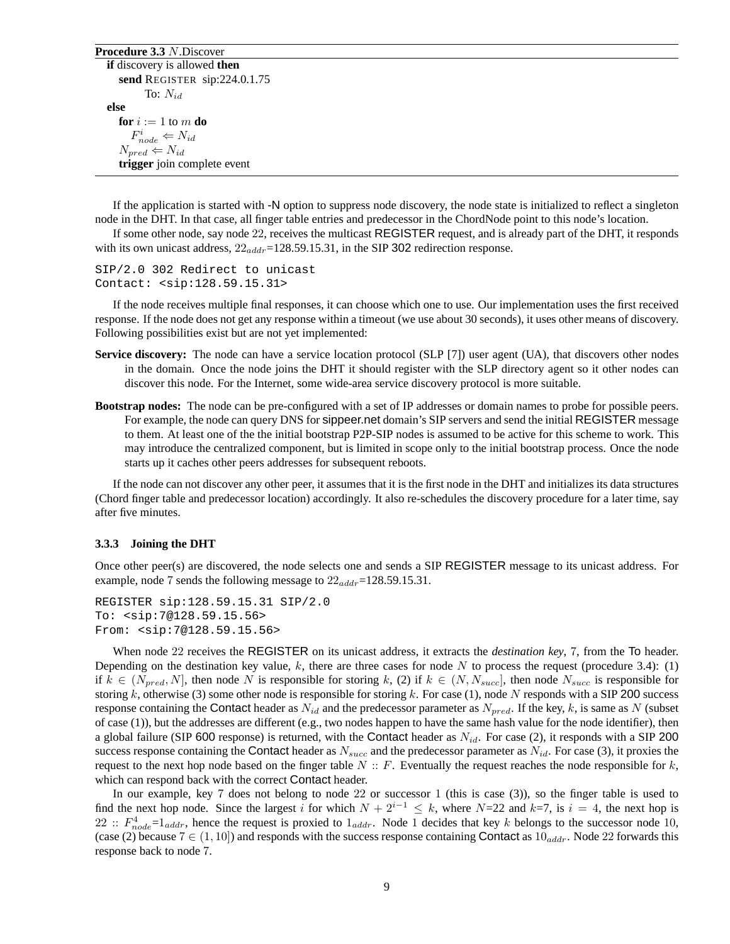**Procedure 3.3** N.Discover **if** discovery is allowed **then send** REGISTER sip:224.0.1.75 To:  $N_{id}$ **else for**  $i := 1$  to  $m$  **do**  $F_{node}^i \Leftarrow N_{id}$  $N_{pred} \Leftarrow N_{id}$ **trigger** join complete event

If the application is started with -N option to suppress node discovery, the node state is initialized to reflect a singleton node in the DHT. In that case, all finger table entries and predecessor in the ChordNode point to this node's location.

If some other node, say node 22, receives the multicast REGISTER request, and is already part of the DHT, it responds with its own unicast address,  $22_{addr}$ =128.59.15.31, in the SIP 302 redirection response.

SIP/2.0 302 Redirect to unicast Contact: <sip:128.59.15.31>

If the node receives multiple final responses, it can choose which one to use. Our implementation uses the first received response. If the node does not get any response within a timeout (we use about 30 seconds), it uses other means of discovery. Following possibilities exist but are not yet implemented:

- **Service discovery:** The node can have a service location protocol (SLP [7]) user agent (UA), that discovers other nodes in the domain. Once the node joins the DHT it should register with the SLP directory agent so it other nodes can discover this node. For the Internet, some wide-area service discovery protocol is more suitable.
- **Bootstrap nodes:** The node can be pre-configured with a set of IP addresses or domain names to probe for possible peers. For example, the node can query DNS for sippeer.net domain's SIP servers and send the initial REGISTER message to them. At least one of the the initial bootstrap P2P-SIP nodes is assumed to be active for this scheme to work. This may introduce the centralized component, but is limited in scope only to the initial bootstrap process. Once the node starts up it caches other peers addresses for subsequent reboots.

If the node can not discover any other peer, it assumes that it is the first node in the DHT and initializes its data structures (Chord finger table and predecessor location) accordingly. It also re-schedules the discovery procedure for a later time, say after five minutes.

#### **3.3.3 Joining the DHT**

Once other peer(s) are discovered, the node selects one and sends a SIP REGISTER message to its unicast address. For example, node 7 sends the following message to  $22_{addr}$ =128.59.15.31.

```
REGISTER sip:128.59.15.31 SIP/2.0
To: <sip:7@128.59.15.56>
From: <sip:7@128.59.15.56>
```
When node 22 receives the REGISTER on its unicast address, it extracts the *destination key*, 7, from the To header. Depending on the destination key value, k, there are three cases for node N to process the request (procedure 3.4): (1) if  $k \in (N_{pred}, N]$ , then node N is responsible for storing k, (2) if  $k \in (N, N_{succ}]$ , then node  $N_{succ}$  is responsible for storing k, otherwise (3) some other node is responsible for storing k. For case (1), node N responds with a SIP 200 success response containing the Contact header as  $N_{id}$  and the predecessor parameter as  $N_{pred}$ . If the key, k, is same as N (subset of case (1)), but the addresses are different (e.g., two nodes happen to have the same hash value for the node identifier), then a global failure (SIP 600 response) is returned, with the Contact header as  $N_{id}$ . For case (2), it responds with a SIP 200 success response containing the Contact header as  $N_{succ}$  and the predecessor parameter as  $N_{id}$ . For case (3), it proxies the request to the next hop node based on the finger table  $N:: F$ . Eventually the request reaches the node responsible for  $k$ , which can respond back with the correct Contact header.

In our example, key 7 does not belong to node 22 or successor 1 (this is case (3)), so the finger table is used to find the next hop node. Since the largest i for which  $N + 2^{i-1} \le k$ , where  $N=22$  and  $k=7$ , is  $i = 4$ , the next hop is 22 ::  $F_{node}^4 = 1_{addr}$ , hence the request is proxied to  $1_{addr}$ . Node 1 decides that key k belongs to the successor node 10,<br>(case (2) because  $7 \in (1, 10]$ ) and responds with the success response containing Contact as 10 :: (case (2) because  $7 \in (1, 10]$ ) and responds with the success response containing Contact as  $10_{addr}$ . Node 22 forwards this response back to node 7.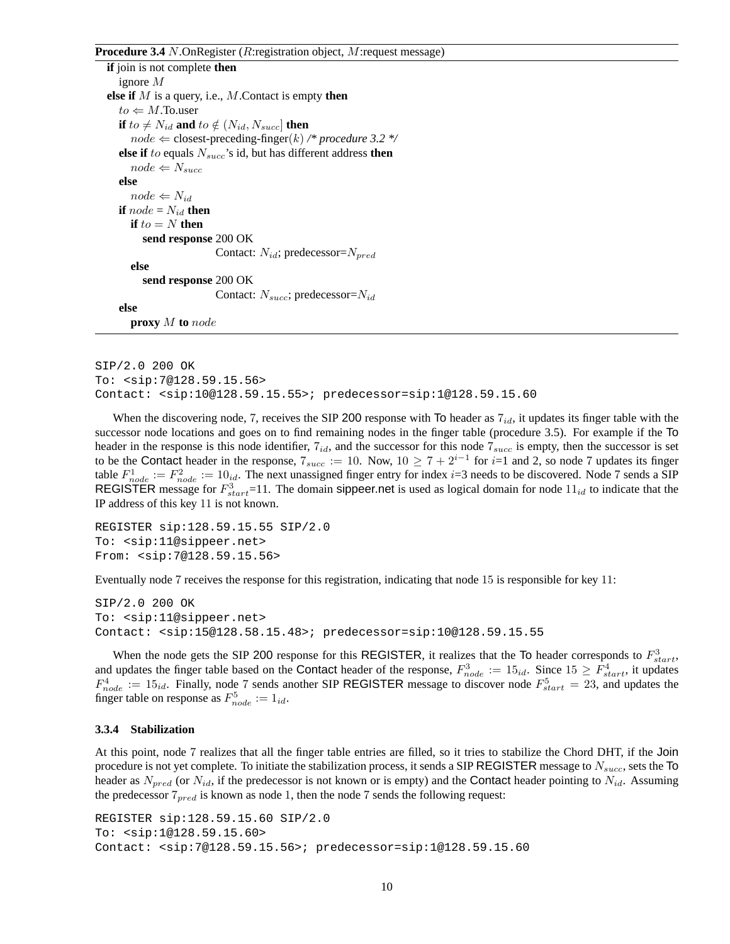#### **Procedure 3.4** N.OnRegister (R:registration object, M:request message)

**if** join is not complete **then** ignore M **else if** M is a query, i.e., M.Contact is empty **then**  $to \Leftarrow M$ .To.user **if**  $to \neq N_{id}$  and  $to \notin (N_{id}, N_{succ}]$  then  $node \Leftarrow closest$ -preceding-finger $(k) \nearrow$  procedure 3.2  $\n\searrow$ **else if** to equals  $N_{succ}$ 's id, but has different address **then**  $node \leftarrow N_{succ}$ **else**  $node \Leftarrow N_{id}$ **if**  $node = N_{id}$  **then if**  $to = N$  **then send response** 200 OK Contact:  $N_{id}$ ; predecessor= $N_{pred}$ **else send response** 200 OK Contact:  $N_{succ}$ ; predecessor= $N_{id}$ **else proxy** M **to** node

SIP/2.0 200 OK To: <sip:7@128.59.15.56> Contact: <sip:10@128.59.15.55>; predecessor=sip:1@128.59.15.60

When the discovering node, 7, receives the SIP 200 response with To header as  $7_{id}$ , it updates its finger table with the successor node locations and goes on to find remaining nodes in the finger table (procedure 3.5). For example if the To header in the response is this node identifier,  $7_{id}$ , and the successor for this node  $7_{succ}$  is empty, then the successor is set to be the Contact header in the response,  $7_{succ} := 10$ . Now,  $10 \ge 7 + 2^{i-1}$  for  $i=1$  and 2, so node 7 updates its finger table  $F_{node}^1 := F_{node}^2 := 10_{id}$ . The next unassigned finger entry for index *i*=3 needs to be discovered. Node 7 sends a SIP<br>REGISTER message for  $F^3 = 11$ . The domain **sinnear net** is used as logical domain for node 11:1 to REGISTER message for  $F_{start}^3$ =11. The domain sippeer.net is used as logical domain for node  $11_{id}$  to indicate that the<br>IP address of this key 11 is not known IP address of this key 11 is not known.

REGISTER sip:128.59.15.55 SIP/2.0 To: <sip:11@sippeer.net> From: <sip:7@128.59.15.56>

Eventually node 7 receives the response for this registration, indicating that node 15 is responsible for key 11:

```
SIP/2.0 200 OK
To: <sip:11@sippeer.net>
Contact: <sip:15@128.58.15.48>; predecessor=sip:10@128.59.15.55
```
When the node gets the SIP 200 response for this REGISTER, it realizes that the To header corresponds to  $F_{start}^3$ , and updates the finger table based on the Contact header of the response,  $F_{node}^3 := 15_{id}$ . Since  $15 \ge F_{start}^4$ , it updates  $F^4 = -15_{id}$ . Finally, node 7 sends another SIP REGISTER message to discover node  $F^5 = -23$  and upd  $F_{node}^4 := 15_{id}$ . Finally, node 7 sends another SIP REGISTER message to discover node  $F_{start}^5 = 23$ , and updates the finger table on response as  $F^5 = -1$ . finger table on response as  $F_{node}^5 := 1_{id}$ .

#### **3.3.4 Stabilization**

At this point, node 7 realizes that all the finger table entries are filled, so it tries to stabilize the Chord DHT, if the Join procedure is not yet complete. To initiate the stabilization process, it sends a SIP REGISTER message to  $N_{succ}$ , sets the To header as  $N_{pred}$  (or  $N_{id}$ , if the predecessor is not known or is empty) and the Contact header pointing to  $N_{id}$ . Assuming the predecessor  $7_{pred}$  is known as node 1, then the node 7 sends the following request:

```
REGISTER sip:128.59.15.60 SIP/2.0
To: <sip:1@128.59.15.60>
Contact: <sip:7@128.59.15.56>; predecessor=sip:1@128.59.15.60
```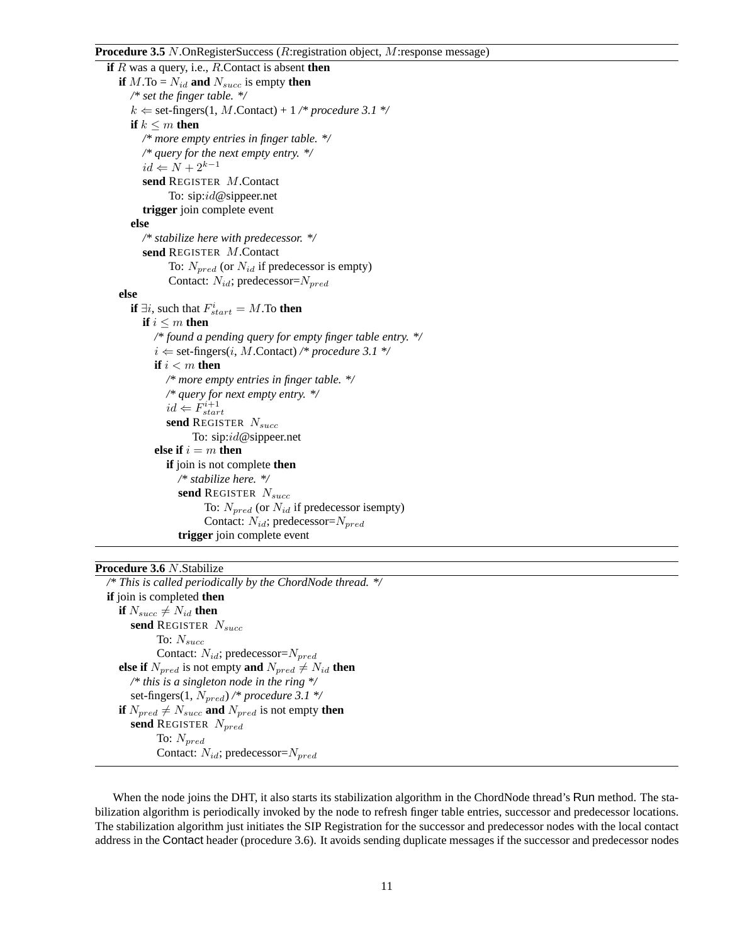### **Procedure 3.5** N.OnRegisterSuccess (R:registration object, M:response message)

```
if R was a query, i.e., R.Contact is absent then
  if M.\text{To} = N_{id} and N_{succ} is empty then
     /* set the finger table. */
     k \leftarrow set-fingers(1, M.Contact) + 1 /* procedure 3.1 */
     if k \leq m then
       /* more empty entries in finger table. */
       /* query for the next empty entry. */
       id \Leftarrow N + 2^{k-1}send REGISTER M.Contact
             To: sip:id@sippeer.net
       trigger join complete event
     else
       /* stabilize here with predecessor. */
       send REGISTER M.Contact
             To: N_{pred} (or N_{id} if predecessor is empty)
              Contact: N_{id}; predecessor=N_{pred}else
     if \exists i, such that F_{start}^i = M. To then
       if i \leq m then
          /* found a pending query for empty finger table entry. */
          i \leftarrow set-fingers(i, M.Contact) /* procedure 3.1 */
          if i < m then
             /* more empty entries in finger table. */
             /* query for next empty entry. */
             id \Leftarrow \check{F}^{i+1}_{start}send REGISTER N_{succ}To: sip:id@sippeer.net
          else if i = m then
             if join is not complete then
                /* stabilize here. */
                send REGISTER N_{succ}To: N_{pred} (or N_{id} if predecessor isempty)
                      Contact: N_{id}; predecessor=N_{pred}trigger join complete event
```
#### **Procedure 3.6** N.Stabilize

```
/* This is called periodically by the ChordNode thread. */
if join is completed then
   if N_{succ} \neq N_{id} then
     send REGISTER N_{succ}To: N_{succ}Contact: N_{id}; predecessor=N_{pred}else if N_{pred} is not empty and N_{pred} \neq N_{id} then
     /* this is a singleton node in the ring */
     set-fingers(1, N_{pred}) /* procedure 3.1 */
  if N_{pred} \neq N_{succ} and N_{pred} is not empty then
     send REGISTER N_{pred}To: N_{pred}Contact: N_{id}; predecessor=N_{pred}
```
When the node joins the DHT, it also starts its stabilization algorithm in the ChordNode thread's Run method. The stabilization algorithm is periodically invoked by the node to refresh finger table entries, successor and predecessor locations. The stabilization algorithm just initiates the SIP Registration for the successor and predecessor nodes with the local contact address in the Contact header (procedure 3.6). It avoids sending duplicate messages if the successor and predecessor nodes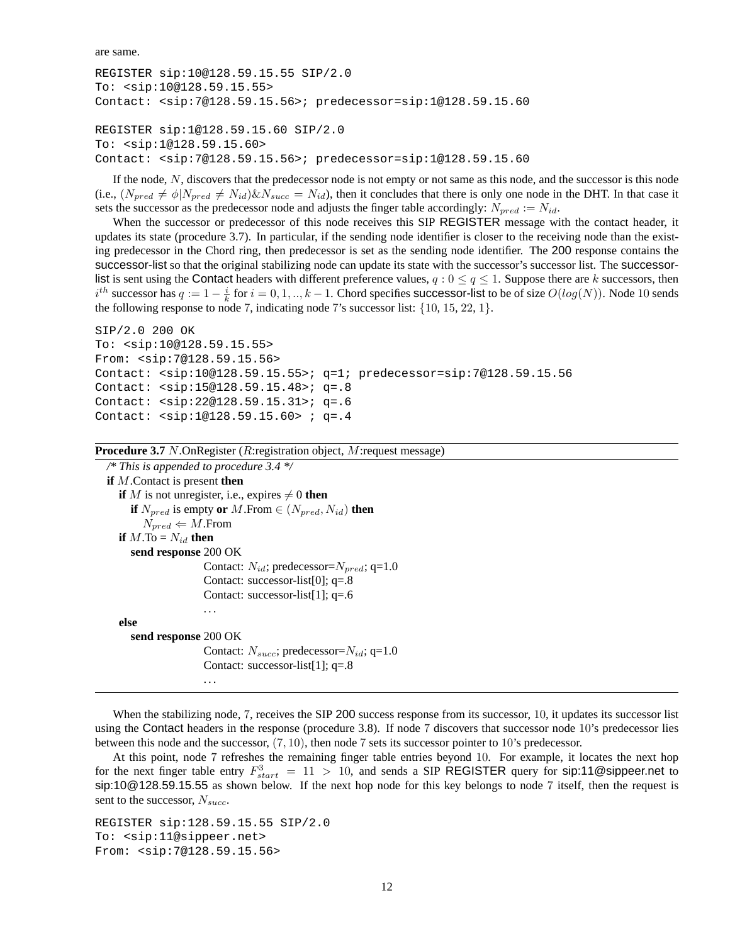are same.

```
REGISTER sip:10@128.59.15.55 SIP/2.0
To: <sip:10@128.59.15.55>
Contact: <sip:7@128.59.15.56>; predecessor=sip:1@128.59.15.60
REGISTER sip:1@128.59.15.60 SIP/2.0
To: <sip:1@128.59.15.60>
Contact: <sip:7@128.59.15.56>; predecessor=sip:1@128.59.15.60
```
If the node,  $N$ , discovers that the predecessor node is not empty or not same as this node, and the successor is this node (i.e.,  $(N_{pred} \neq \phi|N_{pred} \neq N_{id})\&N_{succ} = N_{id}$ ), then it concludes that there is only one node in the DHT. In that case it sets the successor as the predecessor node and adjusts the finger table accordingly:  $N_{pred} := N_{id}$ .

When the successor or predecessor of this node receives this SIP REGISTER message with the contact header, it updates its state (procedure 3.7). In particular, if the sending node identifier is closer to the receiving node than the existing predecessor in the Chord ring, then predecessor is set as the sending node identifier. The 200 response contains the successor-list so that the original stabilizing node can update its state with the successor's successor list. The successorlist is sent using the Contact headers with different preference values,  $q : 0 \le q \le 1$ . Suppose there are k successors, then  $i^{th}$  successor has  $q := 1 - \frac{i}{k}$  for  $i = 0, 1, ..., k - 1$ . Chord specifies successor-list to be of size  $O(log(N))$ . Node 10 sends<br>the following response to node 7 indicating node 7's successor list: 110, 15, 22, 1). the following response to node 7, indicating node 7's successor list:  $\{10, 15, 22, 1\}$ .

```
SIP/2.0 200 OK
To: <sip:10@128.59.15.55>
From: <sip:7@128.59.15.56>
Contact: <sip:10@128.59.15.55>; q=1; predecessor=sip:7@128.59.15.56
Contact: <sip:15@128.59.15.48>; q=.8
Contact: <sip:22@128.59.15.31>; q=.6
Contact: <sip:1@128.59.15.60> ; q=.4
```

```
Procedure 3.7 N.OnRegister (R:registration object, M:request message)
```

```
/* This is appended to procedure 3.4 */
if M.Contact is present then
  if M is not unregister, i.e., expires \neq 0 then
     if N_{pred} is empty or M.From \in (N_{pred}, N_{id}) then
        N_{pred} \Leftarrow M. From
  if M.\text{To} = N_{id} then
     send response 200 OK
                      Contact: N_{id}; predecessor=N_{pred}; q=1.0
                      Contact: successor-list[0]; q=.8
                      Contact: successor-list[1]; q=.6
                      ...
   else
     send response 200 OK
                      Contact: N_{succ}; predecessor=N_{id}; q=1.0
                      Contact: successor-list[1]; q=.8
                      ...
```
When the stabilizing node, 7, receives the SIP 200 success response from its successor, 10, it updates its successor list using the Contact headers in the response (procedure 3.8). If node 7 discovers that successor node 10's predecessor lies between this node and the successor, (7, 10), then node 7 sets its successor pointer to 10's predecessor.

At this point, node 7 refreshes the remaining finger table entries beyond 10. For example, it locates the next hop for the next finger table entry  $F_{start}^3 = 11 > 10$ , and sends a SIP REGISTER query for sip:11@sippeer.net to sin:10@128.59.15.55 as shown below. If the next hop node for this key belongs to node 7 itself, then the request i sip:10@128.59.15.55 as shown below. If the next hop node for this key belongs to node 7 itself, then the request is sent to the successor,  $N_{succ}$ .

```
REGISTER sip:128.59.15.55 SIP/2.0
To: <sip:11@sippeer.net>
From: <sip:7@128.59.15.56>
```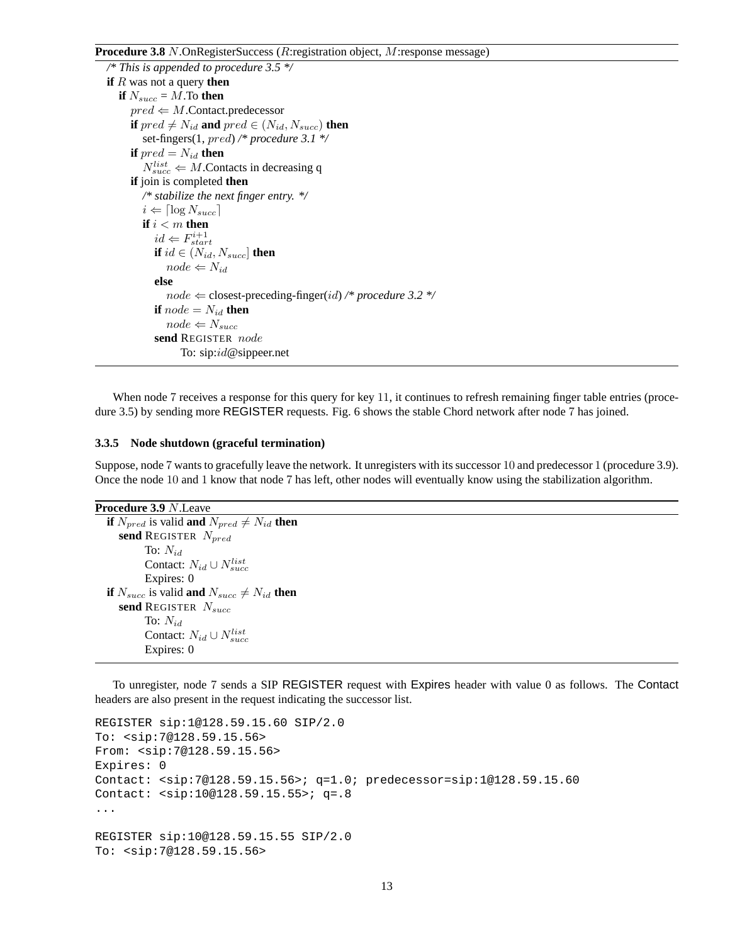### **Procedure 3.8** N.OnRegisterSuccess (R:registration object, M:response message)

```
/* This is appended to procedure 3.5 */
if R was not a query then
   if N_{succ} = M. To then
      pred \Leftarrow M.Contact.predecessor
      if pred \neq N_{id} and pred \in (N_{id}, N_{succ}) then
         set-fingers(1, pred) /* procedure 3.1 */
      if pred = N_{id} then
         N_{succ}^{list} \Leftarrow M. Contacts in decreasing q
      if join is completed then
         /* stabilize the next finger entry. */
         i \Leftarrow \lceil \log N_{succ} \rceilif i < m then
            id \Leftarrow F_{start}^{i+1}if id \in (N_{id}, N_{succ}] then
               node \Leftarrow N_{id}else
               node \Leftarrow closest-preceding-finger(id) \n  /* procedure 3.2 */if node = N_{id} then
               node \leftarrow N_{succ}send REGISTER node
                   To: sip:id@sippeer.net
```
When node 7 receives a response for this query for key 11, it continues to refresh remaining finger table entries (procedure 3.5) by sending more REGISTER requests. Fig. 6 shows the stable Chord network after node 7 has joined.

#### **3.3.5 Node shutdown (graceful termination)**

Suppose, node 7 wants to gracefully leave the network. It unregisters with its successor 10 and predecessor 1 (procedure 3.9). Once the node 10 and 1 know that node 7 has left, other nodes will eventually know using the stabilization algorithm.

```
Procedure 3.9 N.Leave
```

```
if N_{pred} is valid and N_{pred} \neq N_{id} then
   send REGISTER N_{pred}To: N_{id}Contact: N_{id} \cup N_{succ}^{list}Expires: 0
if N_{succ} is valid and N_{succ} \neq N_{id} then
   send REGISTER N_{succ}To: N_{id}Contact: N_{id} \cup N_{succ}^{list}Expires: 0
```
To unregister, node 7 sends a SIP REGISTER request with Expires header with value 0 as follows. The Contact headers are also present in the request indicating the successor list.

```
REGISTER sip:1@128.59.15.60 SIP/2.0
To: <sip:7@128.59.15.56>
From: <sip:7@128.59.15.56>
Expires: 0
Contact: <sip:7@128.59.15.56>; q=1.0; predecessor=sip:1@128.59.15.60
Contact: <sip:10@128.59.15.55>; q=.8
...
REGISTER sip:10@128.59.15.55 SIP/2.0
To: <sip:7@128.59.15.56>
```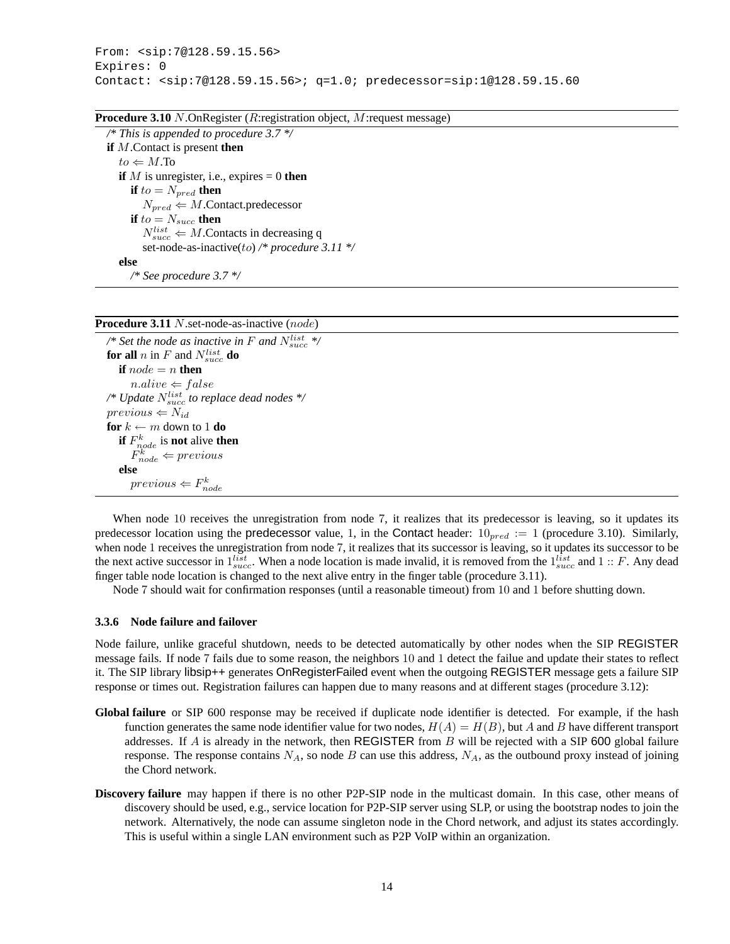### **Procedure 3.10** N.OnRegister (R:registration object, M:request message)

*/\* This is appended to procedure 3.7 \*/* **if** M.Contact is present **then**  $to \leftarrow M$ .To **if** M is unregister, i.e., expires  $= 0$  **then if**  $to = N_{pred}$  **then**  $N_{pred} \Leftarrow M$ .Contact.predecessor **if**  $to = N_{succ}$  **then**  $N_{succ}^{list} \Leftarrow M$ . Contacts in decreasing q set-node-as-inactive(to) */\* procedure 3.11 \*/* **else** */\* See procedure 3.7 \*/*

|  |  | Procedure 3.11 N.set-node-as-inactive (node) |  |
|--|--|----------------------------------------------|--|
|--|--|----------------------------------------------|--|

 $\sqrt{*}$  Set the node as inactive in F and  $N_{succ}^{list}$   $*$ **for all**  $n$  in  $F$  and  $N_{succ}^{list}$  **do if**  $node = n$  **then**  $n. alive \Leftarrow false$ */\* Update* Nlist succ *to replace dead nodes \*/*  $previous \leftarrow N_{id}$ **for**  $k \leftarrow m$  down to 1 **do if**  $F_{node}^k$  is **not** alive **then**  $F_{node}^k \Leftarrow previous$ **else**  $previous \Leftarrow F_{node}^k$ 

When node 10 receives the unregistration from node 7, it realizes that its predecessor is leaving, so it updates its predecessor location using the predecessor value, 1, in the Contact header:  $10_{pred} := 1$  (procedure 3.10). Similarly, when node 1 receives the unregistration from node 7, it realizes that its successor is leaving, so it updates its successor to be the next active successor in  $1_{\text{size}}^{list}$ . When a node location is made invalid, it is removed from the  $1_{\text{size}}^{list}$  and  $1:: F$ . Any dead finger table node location is changed to the next alive entry in the finger table (procedure 3.11).

Node 7 should wait for confirmation responses (until a reasonable timeout) from 10 and 1 before shutting down.

#### **3.3.6 Node failure and failover**

Node failure, unlike graceful shutdown, needs to be detected automatically by other nodes when the SIP REGISTER message fails. If node 7 fails due to some reason, the neighbors 10 and 1 detect the failue and update their states to reflect it. The SIP library libsip++ generates OnRegisterFailed event when the outgoing REGISTER message gets a failure SIP response or times out. Registration failures can happen due to many reasons and at different stages (procedure 3.12):

- Global failure or SIP 600 response may be received if duplicate node identifier is detected. For example, if the hash function generates the same node identifier value for two nodes,  $H(A) = H(B)$ , but A and B have different transport addresses. If A is already in the network, then REGISTER from B will be rejected with a SIP 600 global failure response. The response contains  $N_A$ , so node B can use this address,  $N_A$ , as the outbound proxy instead of joining the Chord network.
- **Discovery failure** may happen if there is no other P2P-SIP node in the multicast domain. In this case, other means of discovery should be used, e.g., service location for P2P-SIP server using SLP, or using the bootstrap nodes to join the network. Alternatively, the node can assume singleton node in the Chord network, and adjust its states accordingly. This is useful within a single LAN environment such as P2P VoIP within an organization.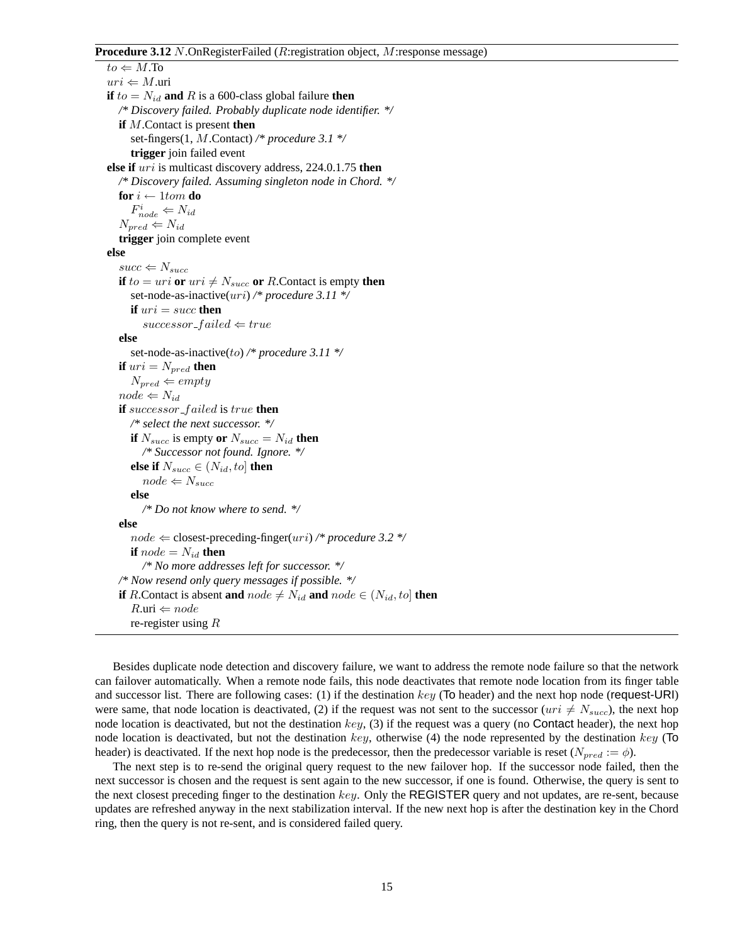### **Procedure 3.12** N.OnRegisterFailed (R:registration object, M:response message)

 $to \leftarrow M.\overline{To}$  $uri \Leftarrow M$ .uri **if**  $to = N_{id}$  and R is a 600-class global failure **then** */\* Discovery failed. Probably duplicate node identifier. \*/* **if** M.Contact is present **then** set-fingers(1, M.Contact) */\* procedure 3.1 \*/* **trigger** join failed event **else if** uri is multicast discovery address, 224.0.1.75 **then** */\* Discovery failed. Assuming singleton node in Chord. \*/* **for**  $i \leftarrow 1$ *tom* **do**  $F_{node}^i \Leftarrow N_{id}$  $N_{pred} \Leftarrow N_{id}$ **trigger** join complete event **else**  $succ \leftarrow N_{succ}$ **if**  $to = uri$  **or**  $uri \neq N_{succ}$  **or** R.Contact is empty **then** set-node-as-inactive(uri) */\* procedure 3.11 \*/* **if**  $uri = succ$  **then**  $successor$ -failed  $\Leftarrow true$ **else** set-node-as-inactive(to) */\* procedure 3.11 \*/* **if**  $uri = N_{pred}$  **then**  $N_{pred} \Leftarrow empty$  $node \Leftarrow N_{id}$ **if** successor f ailed is true **then** */\* select the next successor. \*/* **if**  $N_{succ}$  is empty **or**  $N_{succ} = N_{id}$  **then** */\* Successor not found. Ignore. \*/* **else if**  $N_{succ} \in (N_{id}, to]$  **then**  $node \Leftarrow N_{succ}$ **else** */\* Do not know where to send. \*/* **else**  $node \Leftarrow closest-preceding-finger(uri)$  /\* procedure 3.2 \*/ **if**  $node = N_{id}$  **then** */\* No more addresses left for successor. \*/ /\* Now resend only query messages if possible. \*/* **if** R.Contact is absent **and** node  $\neq$  N<sub>id</sub> **and** node  $\in$  (N<sub>id</sub>, to] **then**  $R.\text{uri} \Leftarrow node$ re-register using R

Besides duplicate node detection and discovery failure, we want to address the remote node failure so that the network can failover automatically. When a remote node fails, this node deactivates that remote node location from its finger table and successor list. There are following cases: (1) if the destination  $key$  (To header) and the next hop node (request-URI) were same, that node location is deactivated, (2) if the request was not sent to the successor ( $uri \neq N_{succ}$ ), the next hop node location is deactivated, but not the destination  $key$ , (3) if the request was a query (no Contact header), the next hop node location is deactivated, but not the destination key, otherwise (4) the node represented by the destination key ( $\text{To}$ header) is deactivated. If the next hop node is the predecessor, then the predecessor variable is reset ( $N_{pred} := \phi$ ).

The next step is to re-send the original query request to the new failover hop. If the successor node failed, then the next successor is chosen and the request is sent again to the new successor, if one is found. Otherwise, the query is sent to the next closest preceding finger to the destination  $key$ . Only the REGISTER query and not updates, are re-sent, because updates are refreshed anyway in the next stabilization interval. If the new next hop is after the destination key in the Chord ring, then the query is not re-sent, and is considered failed query.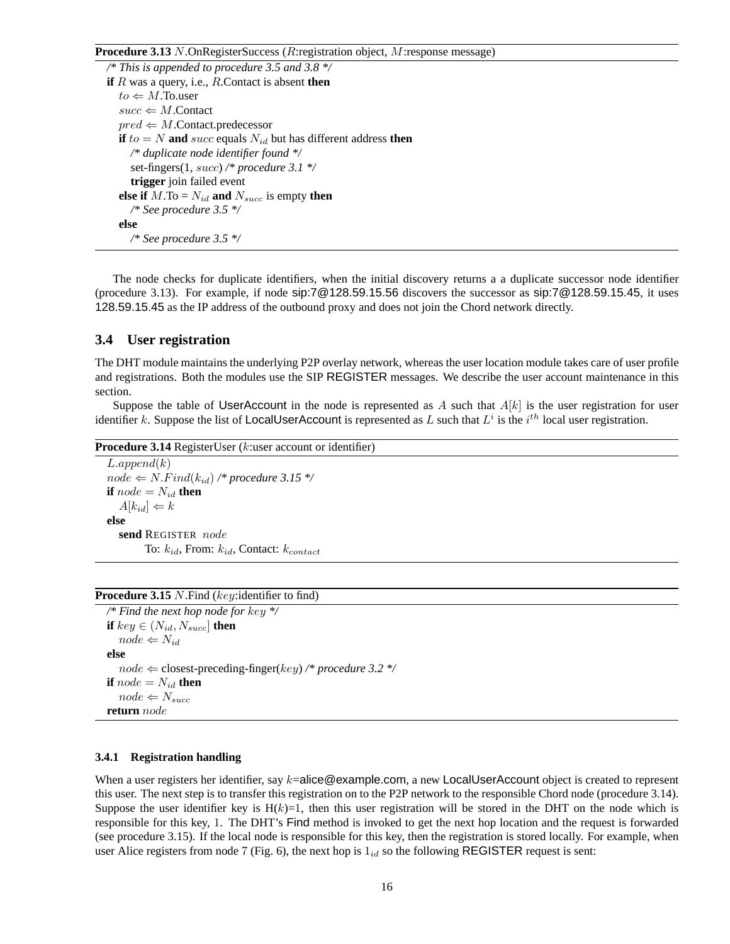### **Procedure 3.13** N.OnRegisterSuccess (R:registration object, M:response message)

```
/* This is appended to procedure 3.5 and 3.8 */
if R was a query, i.e., R.Contact is absent then
   to \leftarrow M.To.user
   succ \Leftarrow M.Contact
   pred \Leftarrow M.Contact.predecessor
  if to = N and succ equals N_{id} but has different address then
     /* duplicate node identifier found */
     set-fingers(1, succ) /* procedure 3.1 */
     trigger join failed event
   else if M.\text{To} = N_{id} and N_{succ} is empty then
     /* See procedure 3.5 */
   else
     /* See procedure 3.5 */
```
The node checks for duplicate identifiers, when the initial discovery returns a a duplicate successor node identifier (procedure 3.13). For example, if node sip:7@128.59.15.56 discovers the successor as sip:7@128.59.15.45, it uses 128.59.15.45 as the IP address of the outbound proxy and does not join the Chord network directly.

### **3.4 User registration**

The DHT module maintains the underlying P2P overlay network, whereas the user location module takes care of user profile and registrations. Both the modules use the SIP REGISTER messages. We describe the user account maintenance in this section.

Suppose the table of UserAccount in the node is represented as A such that  $A[k]$  is the user registration for user identifier k. Suppose the list of LocalUserAccount is represented as L such that  $L^i$  is the  $i^{th}$  local user registration.

**Procedure 3.14** RegisterUser (*k*:user account or identifier)

 $L.append(k)$  $node \Leftarrow N. Find(k_{id})$  /\* procedure 3.15 \*/ **if**  $node = N_{id}$  **then**  $A[k_{id}] \Leftarrow k$ **else send** REGISTER node To:  $k_{id}$ , From:  $k_{id}$ , Contact:  $k_{contact}$ 

### **Procedure 3.15** N.Find (key:identifier to find)

```
/* Find the next hop node for key */
if key \in (N_{id}, N_{succ}] then
   node \Leftarrow N_{id}else
   node \leftarrow closest-preceding-finger(key)/* procedure 3.2 */if node = N_{id} then
   node \Leftarrow N_{succ}return node
```
#### **3.4.1 Registration handling**

When a user registers her identifier, say  $k=$ alice@example.com, a new LocalUserAccount object is created to represent this user. The next step is to transfer this registration on to the P2P network to the responsible Chord node (procedure 3.14). Suppose the user identifier key is  $H(k)=1$ , then this user registration will be stored in the DHT on the node which is responsible for this key, 1. The DHT's Find method is invoked to get the next hop location and the request is forwarded (see procedure 3.15). If the local node is responsible for this key, then the registration is stored locally. For example, when user Alice registers from node 7 (Fig. 6), the next hop is  $1_{id}$  so the following REGISTER request is sent: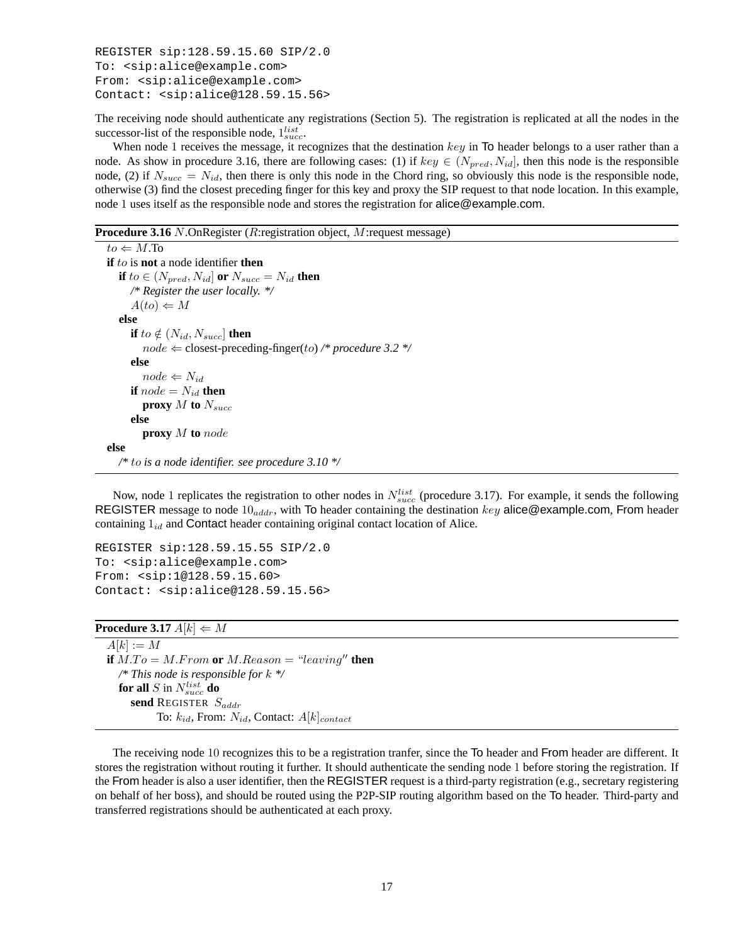```
REGISTER sip:128.59.15.60 SIP/2.0
To: <sip:alice@example.com>
From: <sip:alice@example.com>
Contact: <sip:alice@128.59.15.56>
```
The receiving node should authenticate any registrations (Section 5). The registration is replicated at all the nodes in the successor-list of the responsible node,  $1_{succ}^{list}$ .<br>When node 1 receives the message it re

When node 1 receives the message, it recognizes that the destination  $key$  in To header belongs to a user rather than a node. As show in procedure 3.16, there are following cases: (1) if  $key \in (N_{pred}, N_{id}]$ , then this node is the responsible node, (2) if  $N_{succ} = N_{id}$ , then there is only this node in the Chord ring, so obviously this node is the responsible node, otherwise (3) find the closest preceding finger for this key and proxy the SIP request to that node location. In this example, node 1 uses itself as the responsible node and stores the registration for alice@example.com.

**Procedure 3.16** N.OnRegister (R:registration object, M:request message)

```
to \leftarrow M.To
if to is not a node identifier then
  if to \in (N_{pred}, N_{id}] or N_{succ} = N_{id} then
     /* Register the user locally. */
     A(to) \Leftarrow Melse
     if to \notin (N_{id}, N_{succ}] then
        node \Leftarrow closest-preceding-finger(to) /* procedure 3.2 */
     else
        node \Leftarrow N_{id}if node = N_{id} then
        proxy M to N_{succ}else
        proxy M to node
else
  /* to is a node identifier. see procedure 3.10 */
```
Now, node 1 replicates the registration to other nodes in  $N_{succ}^{list}$  (procedure 3.17). For example, it sends the following<br>GISTER message to node 10  $\ldots$  with To header containing the destination key alice@example.com. Fr REGISTER message to node  $10_{addr}$ , with To header containing the destination key alice@example.com, From header containing  $1_{id}$  and Contact header containing original contact location of Alice.

```
REGISTER sip:128.59.15.55 SIP/2.0
To: <sip:alice@example.com>
From: <sip:1@128.59.15.60>
Contact: <sip:alice@128.59.15.56>
```

```
Procedure 3.17 A[k] \leftarrow M
```

```
A[k] := Mif M.To = M.From or M.Reason = "leaving" then
  /* This node is responsible for k */
  for all S in N_{succ}^{list} do
     send REGISTER S_{addr}To: k_{id}, From: N_{id}, Contact: A[k]_{contact}
```
The receiving node 10 recognizes this to be a registration tranfer, since the To header and From header are different. It stores the registration without routing it further. It should authenticate the sending node 1 before storing the registration. If the From header is also a user identifier, then the REGISTER request is a third-party registration (e.g., secretary registering on behalf of her boss), and should be routed using the P2P-SIP routing algorithm based on the To header. Third-party and transferred registrations should be authenticated at each proxy.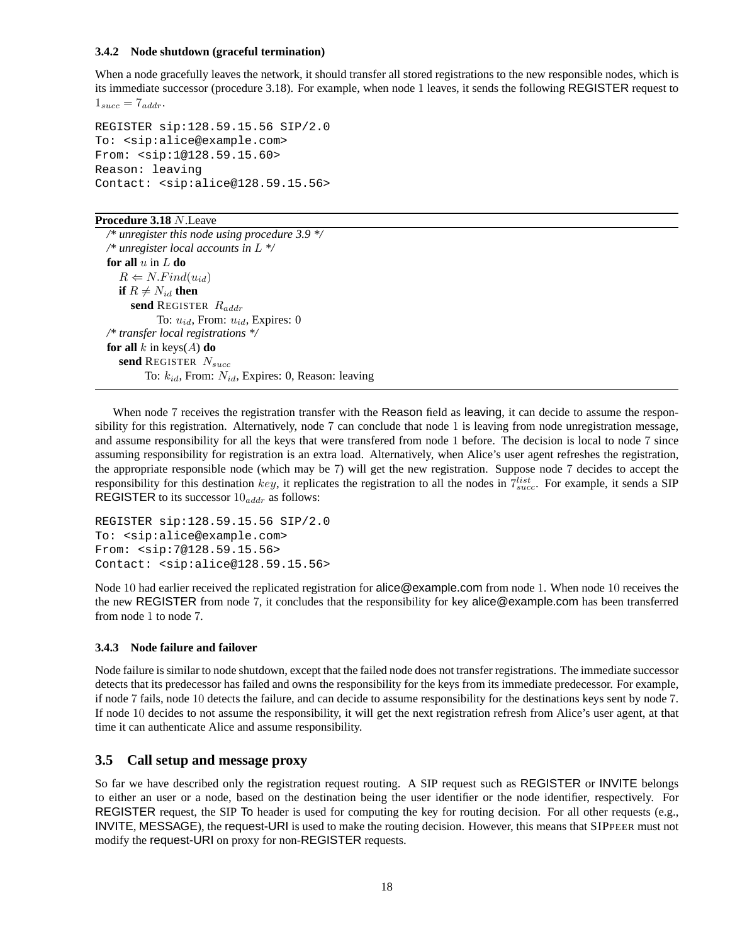### **3.4.2 Node shutdown (graceful termination)**

When a node gracefully leaves the network, it should transfer all stored registrations to the new responsible nodes, which is its immediate successor (procedure 3.18). For example, when node 1 leaves, it sends the following REGISTER request to  $1_{succ} = 7_{addr}.$ 

```
REGISTER sip:128.59.15.56 SIP/2.0
To: <sip:alice@example.com>
From: <sip:1@128.59.15.60>
Reason: leaving
Contact: <sip:alice@128.59.15.56>
```
### **Procedure 3.18** N.Leave

*/\* unregister this node using procedure 3.9 \*/ /\* unregister local accounts in* L *\*/* **for all** u in L **do**  $R \Leftarrow N. Find(u_{id})$ **if**  $R \neq N_{id}$  **then** send REGISTER  $R_{addr}$ To:  $u_{id}$ , From:  $u_{id}$ , Expires: 0 */\* transfer local registrations \*/* **for all** k in keys $(A)$  **do** send REGISTER  $N_{succ}$ To:  $k_{id}$ , From:  $N_{id}$ , Expires: 0, Reason: leaving

When node 7 receives the registration transfer with the Reason field as leaving, it can decide to assume the responsibility for this registration. Alternatively, node 7 can conclude that node 1 is leaving from node unregistration message, and assume responsibility for all the keys that were transfered from node 1 before. The decision is local to node 7 since assuming responsibility for registration is an extra load. Alternatively, when Alice's user agent refreshes the registration, the appropriate responsible node (which may be 7) will get the new registration. Suppose node 7 decides to accept the responsibility for this destination key, it replicates the registration to all the nodes in  $7^{list}_{succ}$ . For example, it sends a SIP<br>REGISTER to its successor 10  $\ldots$  as follows: REGISTER to its successor  $10_{addr}$  as follows:

```
REGISTER sip:128.59.15.56 SIP/2.0
To: <sip:alice@example.com>
From: <sip:7@128.59.15.56>
Contact: <sip:alice@128.59.15.56>
```
Node 10 had earlier received the replicated registration for alice@example.com from node 1. When node 10 receives the the new REGISTER from node 7, it concludes that the responsibility for key alice@example.com has been transferred from node 1 to node 7.

### **3.4.3 Node failure and failover**

Node failure is similar to node shutdown, except that the failed node does not transfer registrations. The immediate successor detects that its predecessor has failed and owns the responsibility for the keys from its immediate predecessor. For example, if node 7 fails, node 10 detects the failure, and can decide to assume responsibility for the destinations keys sent by node 7. If node 10 decides to not assume the responsibility, it will get the next registration refresh from Alice's user agent, at that time it can authenticate Alice and assume responsibility.

### **3.5 Call setup and message proxy**

So far we have described only the registration request routing. A SIP request such as REGISTER or INVITE belongs to either an user or a node, based on the destination being the user identifier or the node identifier, respectively. For REGISTER request, the SIP To header is used for computing the key for routing decision. For all other requests (e.g., INVITE, MESSAGE), the request-URI is used to make the routing decision. However, this means that SIPPEER must not modify the request-URI on proxy for non-REGISTER requests.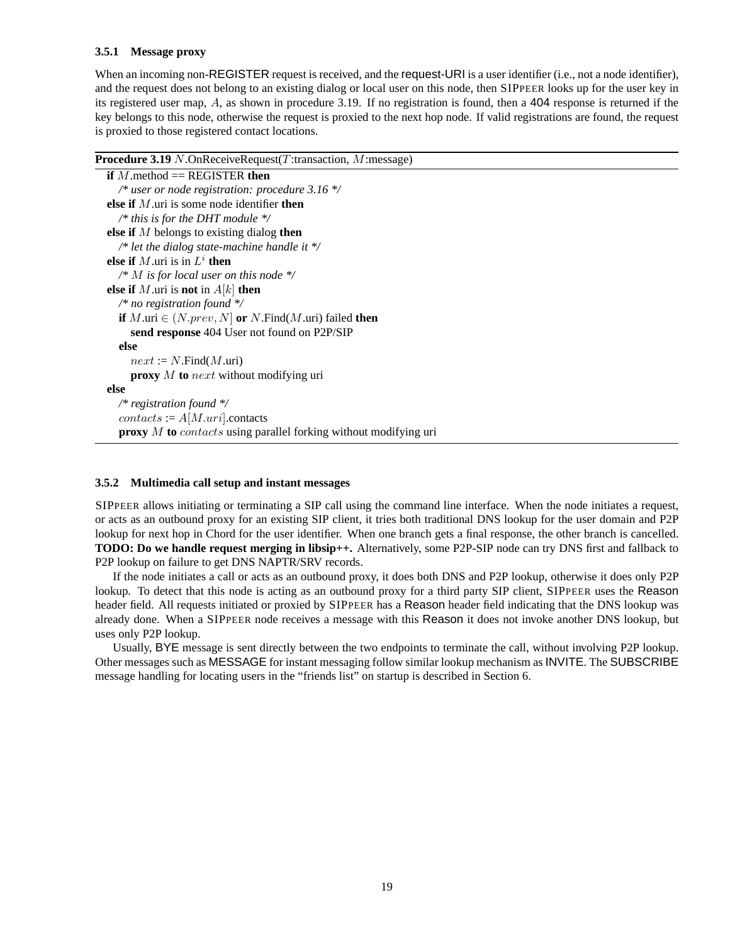### **3.5.1 Message proxy**

When an incoming non-REGISTER request is received, and the request-URI is a user identifier (i.e., not a node identifier), and the request does not belong to an existing dialog or local user on this node, then SIPPEER looks up for the user key in its registered user map, A, as shown in procedure 3.19. If no registration is found, then a 404 response is returned if the key belongs to this node, otherwise the request is proxied to the next hop node. If valid registrations are found, the request is proxied to those registered contact locations.

#### **Procedure 3.19** N.OnReceiveRequest(T:transaction, M:message)

```
if M.method == REGISTER then
  /* user or node registration: procedure 3.16 */
else if M.uri is some node identifier then
  /* this is for the DHT module */
else if M belongs to existing dialog then
  /* let the dialog state-machine handle it */
else if M.uri is in L^i then
  /* M is for local user on this node */
else if M.uri is not in A[k] then
  /* no registration found */
  if M.uri \in (N.prev, N] or N. Find(M.uri) failed then
    send response 404 User not found on P2P/SIP
  else
     next := N.Find(M.uni)proxy M to next without modifying uri
else
  /* registration found */
  contacts := A[M.uri].contactsproxy M to contacts using parallel forking without modifying uri
```
#### **3.5.2 Multimedia call setup and instant messages**

SIPPEER allows initiating or terminating a SIP call using the command line interface. When the node initiates a request, or acts as an outbound proxy for an existing SIP client, it tries both traditional DNS lookup for the user domain and P2P lookup for next hop in Chord for the user identifier. When one branch gets a final response, the other branch is cancelled. **TODO: Do we handle request merging in libsip++.** Alternatively, some P2P-SIP node can try DNS first and fallback to P2P lookup on failure to get DNS NAPTR/SRV records.

If the node initiates a call or acts as an outbound proxy, it does both DNS and P2P lookup, otherwise it does only P2P lookup. To detect that this node is acting as an outbound proxy for a third party SIP client, SIPPEER uses the Reason header field. All requests initiated or proxied by SIPPEER has a Reason header field indicating that the DNS lookup was already done. When a SIPPEER node receives a message with this Reason it does not invoke another DNS lookup, but uses only P2P lookup.

Usually, BYE message is sent directly between the two endpoints to terminate the call, without involving P2P lookup. Other messages such as MESSAGE for instant messaging follow similar lookup mechanism as INVITE. The SUBSCRIBE message handling for locating users in the "friends list" on startup is described in Section 6.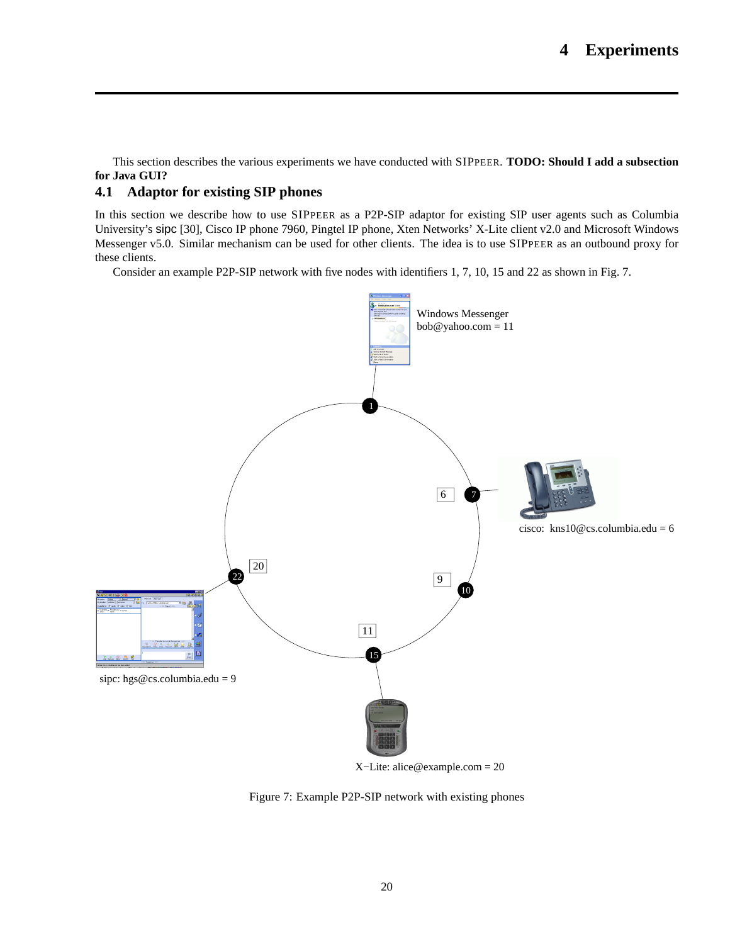This section describes the various experiments we have conducted with SIPPEER. **TODO: Should I add a subsection for Java GUI?**

### **4.1 Adaptor for existing SIP phones**

In this section we describe how to use SIPPEER as a P2P-SIP adaptor for existing SIP user agents such as Columbia University's sipc [30], Cisco IP phone 7960, Pingtel IP phone, Xten Networks' X-Lite client v2.0 and Microsoft Windows Messenger v5.0. Similar mechanism can be used for other clients. The idea is to use SIPPEER as an outbound proxy for these clients.

Consider an example P2P-SIP network with five nodes with identifiers 1, 7, 10, 15 and 22 as shown in Fig. 7.



Figure 7: Example P2P-SIP network with existing phones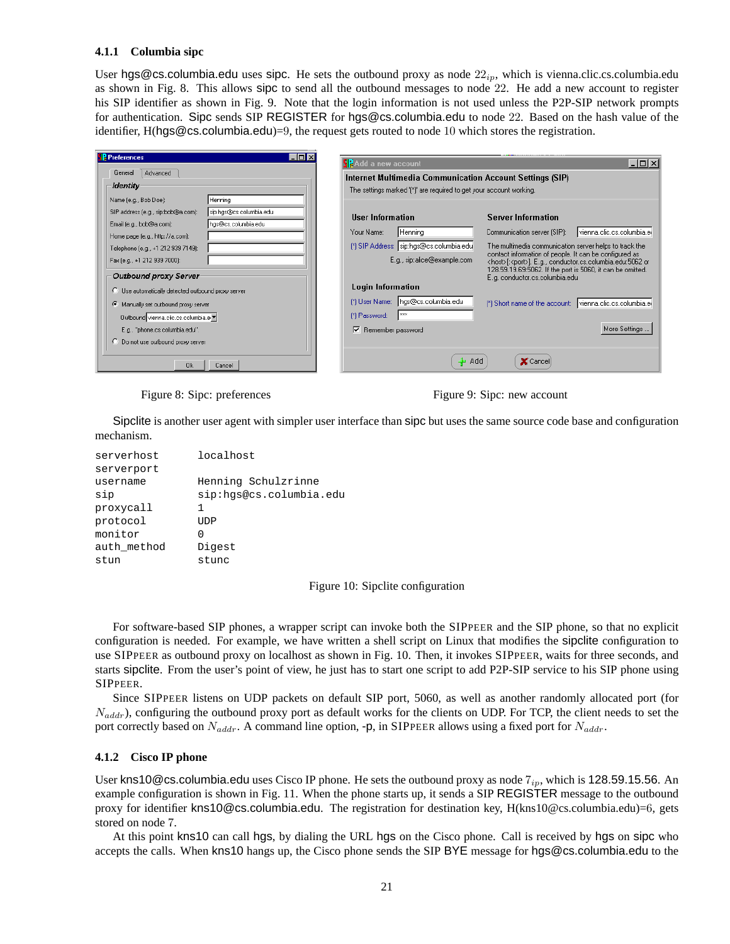#### **4.1.1 Columbia sipc**

User hgs@cs.columbia.edu uses sipc. He sets the outbound proxy as node  $22<sub>ip</sub>$ , which is vienna.clic.cs.columbia.edu as shown in Fig. 8. This allows sipc to send all the outbound messages to node 22. He add a new account to register his SIP identifier as shown in Fig. 9. Note that the login information is not used unless the P2P-SIP network prompts for authentication. Sipc sends SIP REGISTER for hgs@cs.columbia.edu to node 22. Based on the hash value of the identifier, H(hgs@cs.columbia.edu)=9, the request gets routed to node 10 which stores the registration.

| <b>P</b> Preferences<br>$ $ - $ $ $\Box$ $ $ $\times$         |                                                                     |                                                                                                                                  |
|---------------------------------------------------------------|---------------------------------------------------------------------|----------------------------------------------------------------------------------------------------------------------------------|
|                                                               | SP dd a new account                                                 | $  \square   \square   \times  $                                                                                                 |
| General<br>Advanced                                           | Internet Multimedia Communication Account Settings (SIP)            |                                                                                                                                  |
| <b>Identity</b>                                               |                                                                     |                                                                                                                                  |
|                                                               | The settings marked '[*]' are required to get your account working. |                                                                                                                                  |
| Henning<br>Name (e.g., Bob Doe):                              |                                                                     |                                                                                                                                  |
| sip:hqs@cs.columbia.edu<br>SIP address (e.g., sip:bob@a.com): | <b>User Information</b>                                             | <b>Server Information</b>                                                                                                        |
| hqs@cs.columbia.edu<br>Email (e.g., bob@a.com):               |                                                                     |                                                                                                                                  |
| Home page (e.g., http://a.com):                               | Henning<br>Your Name:                                               | vienna.clic.cs.columbia.er<br>Communication server [SIP]:                                                                        |
| Telephone (e.g., +1 212 939 7149):                            | [*] SIP Address: sip:hgs@cs.columbia.edu                            | The multimedia communication server helps to track the                                                                           |
| Fax (e.g., +1 212 939 7000):                                  | E.g., sip:alice@example.com                                         | contact information of people. It can be configured as<br><host>[:<port>]. E.g., conductor.cs.columbia.edu:5062 or</port></host> |
|                                                               |                                                                     | 128.59.19.69:5062. If the port is 5060, it can be omitted.                                                                       |
| Outbound proxy Server                                         |                                                                     | E.g. conductor.cs.columbia.edu                                                                                                   |
| C Use automatically detected outbound proxy server            | <b>Login Information</b>                                            |                                                                                                                                  |
| Manually set outbound proxy server                            | [*] User Name: hgs@cs.columbia.edu                                  | [*] Short name of the account: vienna.clic.cs.columbia.er                                                                        |
| Outbound vienna.clic.cs.columbia.e.▼                          | xxx<br>[*] Password:                                                |                                                                                                                                  |
| E.g., "phone.cs.columbia.edu".                                | Remember password                                                   | More Settings                                                                                                                    |
| C Do not use outbound proxy server                            |                                                                     |                                                                                                                                  |
|                                                               |                                                                     |                                                                                                                                  |
| 0k<br>Cancel                                                  | - Add                                                               | $\mathbf x$ Cance                                                                                                                |

Figure 8: Sipc: preferences Figure 9: Sipc: new account

Sipclite is another user agent with simpler user interface than sipc but uses the same source code base and configuration mechanism.

| serverhost  | localhost               |
|-------------|-------------------------|
| serverport  |                         |
| username    | Henning Schulzrinne     |
| sip         | sip:hqs@cs.columbia.edu |
| proxycall   | 1                       |
| protocol    | TIDP                    |
| monitor     | O                       |
| auth method | Digest                  |
| stun        | stunc                   |

Figure 10: Sipclite configuration

For software-based SIP phones, a wrapper script can invoke both the SIPPEER and the SIP phone, so that no explicit configuration is needed. For example, we have written a shell script on Linux that modifies the sipclite configuration to use SIPPEER as outbound proxy on localhost as shown in Fig. 10. Then, it invokes SIPPEER, waits for three seconds, and starts sipclite. From the user's point of view, he just has to start one script to add P2P-SIP service to his SIP phone using SIPPEER.

Since SIPPEER listens on UDP packets on default SIP port, 5060, as well as another randomly allocated port (for  $N_{addr}$ , configuring the outbound proxy port as default works for the clients on UDP. For TCP, the client needs to set the port correctly based on  $N_{addr}$ . A command line option, -p, in SIPPEER allows using a fixed port for  $N_{addr}$ .

#### **4.1.2 Cisco IP phone**

User kns10@cs.columbia.edu uses Cisco IP phone. He sets the outbound proxy as node  $7_{ip}$ , which is 128.59.15.56. An example configuration is shown in Fig. 11. When the phone starts up, it sends a SIP REGISTER message to the outbound proxy for identifier kns10@cs.columbia.edu. The registration for destination key, H(kns10@cs.columbia.edu)=6, gets stored on node 7.

At this point kns10 can call hgs, by dialing the URL hgs on the Cisco phone. Call is received by hgs on sipc who accepts the calls. When kns10 hangs up, the Cisco phone sends the SIP BYE message for hgs@cs.columbia.edu to the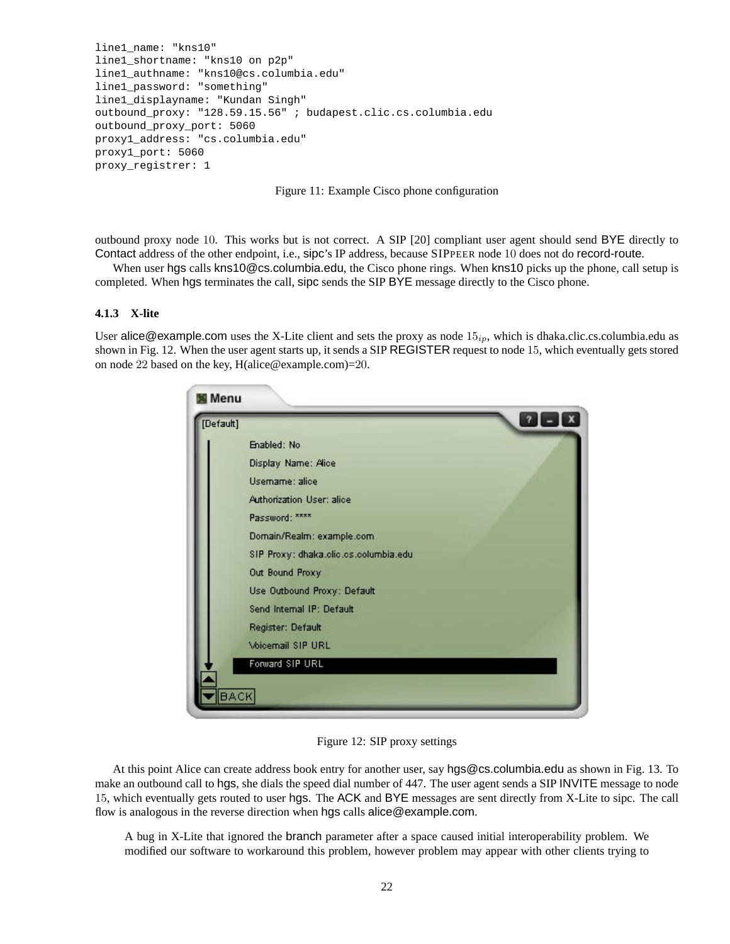```
line1_name: "kns10"
line1_shortname: "kns10 on p2p"
line1_authname: "kns10@cs.columbia.edu"
line1_password: "something"
line1_displayname: "Kundan Singh"
outbound_proxy: "128.59.15.56" ; budapest.clic.cs.columbia.edu
outbound_proxy_port: 5060
proxy1_address: "cs.columbia.edu"
proxy1_port: 5060
proxy_registrer: 1
```
Figure 11: Example Cisco phone configuration

outbound proxy node 10. This works but is not correct. A SIP [20] compliant user agent should send BYE directly to Contact address of the other endpoint, i.e., sipc's IP address, because SIPPEER node <sup>10</sup> does not do record-route.

When user hgs calls kns10@cs.columbia.edu, the Cisco phone rings. When kns10 picks up the phone, call setup is completed. When hgs terminates the call, sipc sends the SIP BYE message directly to the Cisco phone.

### **4.1.3 X-lite**

User alice@example.com uses the X-Lite client and sets the proxy as node  $15_{ip}$ , which is dhaka.clic.cs.columbia.edu as shown in Fig. 12. When the user agent starts up, it sends a SIP REGISTER request to node 15, which eventually gets stored on node 22 based on the key, H(alice@example.com)=20.

| [Default] |                                       | $\mathbf{x}$<br>$\overline{\mathbf{r}}$ |
|-----------|---------------------------------------|-----------------------------------------|
|           | Enabled: No                           |                                         |
|           | Display Name: Alice                   |                                         |
|           | Usemame: alice                        |                                         |
|           | <b>Authorization User: alice</b>      |                                         |
|           | Password: xxxx                        |                                         |
|           | Domain/Realm: example.com             |                                         |
|           | SIP Proxy: dhaka.clic.cs.columbia.edu |                                         |
|           | Out Bound Proxy                       |                                         |
|           | Use Outbound Proxy: Default           |                                         |
|           | Send Internal IP: Default             |                                         |
|           | Register: Default                     |                                         |
|           | <b>Voicemail SIP URL</b>              |                                         |
|           | Forward SIP URL                       |                                         |
|           |                                       |                                         |

Figure 12: SIP proxy settings

At this point Alice can create address book entry for another user, say hgs@cs.columbia.edu as shown in Fig. 13. To make an outbound call to hgs, she dials the speed dial number of 447. The user agent sends a SIP INVITE message to node 15, which eventually gets routed to user hgs. The ACK and BYE messages are sent directly from X-Lite to sipc. The call flow is analogous in the reverse direction when hgs calls alice@example.com.

A bug in X-Lite that ignored the branch parameter after a space caused initial interoperability problem. We modified our software to workaround this problem, however problem may appear with other clients trying to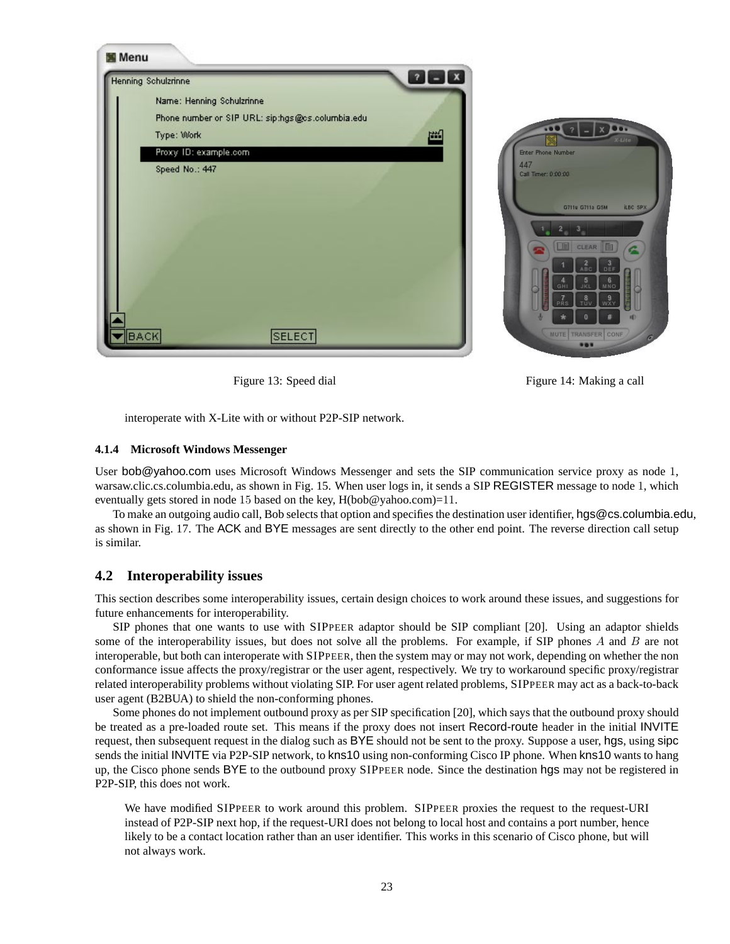

Figure 13: Speed dial Figure 14: Making a call

interoperate with X-Lite with or without P2P-SIP network.

#### **4.1.4 Microsoft Windows Messenger**

User bob@yahoo.com uses Microsoft Windows Messenger and sets the SIP communication service proxy as node 1, warsaw.clic.cs.columbia.edu, as shown in Fig. 15. When user logs in, it sends a SIP REGISTER message to node 1, which eventually gets stored in node 15 based on the key,  $H(bob@yahoo.com)=11$ .

To make an outgoing audio call, Bob selects that option and specifies the destination user identifier, hgs@cs.columbia.edu, as shown in Fig. 17. The ACK and BYE messages are sent directly to the other end point. The reverse direction call setup is similar.

### **4.2 Interoperability issues**

This section describes some interoperability issues, certain design choices to work around these issues, and suggestions for future enhancements for interoperability.

SIP phones that one wants to use with SIPPEER adaptor should be SIP compliant [20]. Using an adaptor shields some of the interoperability issues, but does not solve all the problems. For example, if SIP phones A and B are not interoperable, but both can interoperate with SIPPEER, then the system may or may not work, depending on whether the non conformance issue affects the proxy/registrar or the user agent, respectively. We try to workaround specific proxy/registrar related interoperability problems without violating SIP. For user agent related problems, SIPPEER may act as a back-to-back user agent (B2BUA) to shield the non-conforming phones.

Some phones do not implement outbound proxy as per SIP specification [20], which says that the outbound proxy should be treated as a pre-loaded route set. This means if the proxy does not insert Record-route header in the initial INVITE request, then subsequent request in the dialog such as BYE should not be sent to the proxy. Suppose a user, hgs, using sipc sends the initial INVITE via P2P-SIP network, to kns10 using non-conforming Cisco IP phone. When kns10 wants to hang up, the Cisco phone sends BYE to the outbound proxy SIPPEER node. Since the destination hgs may not be registered in P2P-SIP, this does not work.

We have modified SIPPEER to work around this problem. SIPPEER proxies the request to the request-URI instead of P2P-SIP next hop, if the request-URI does not belong to local host and contains a port number, hence likely to be a contact location rather than an user identifier. This works in this scenario of Cisco phone, but will not always work.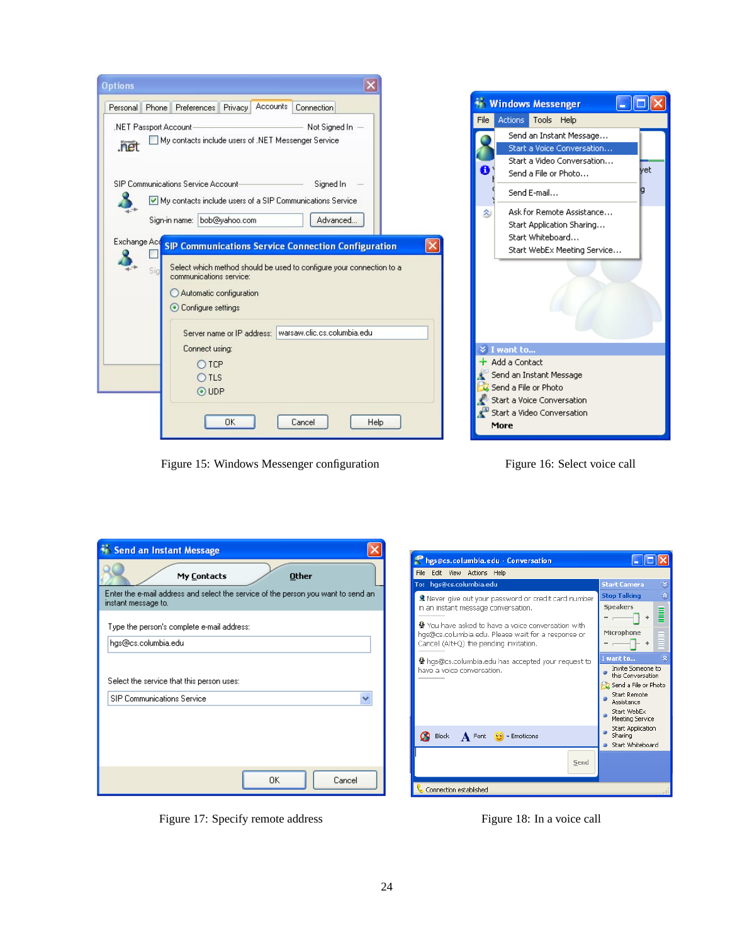| <b>Options</b>                                                                                                                    |                                                                                                                          |
|-----------------------------------------------------------------------------------------------------------------------------------|--------------------------------------------------------------------------------------------------------------------------|
| Accounts<br>Personal   Phone   Preferences   Privacy<br>Connection                                                                | <b>Windows Messenger</b>                                                                                                 |
| Not Signed In -<br>.NET Passport Account-                                                                                         | Actions Tools Help<br>File                                                                                               |
| My contacts include users of .NET Messenger Service<br>.net<br>SIP Communications Service Account-<br>Signed In                   | Send an Instant Message<br>Start a Voice Conversation<br>Start a Video Conversation<br>vet.<br>8<br>Send a File or Photo |
| My contacts include users of a SIP Communications Service                                                                         | Send E-mail                                                                                                              |
| Sign-in name: bob@yahoo.com<br>Advanced<br>Exchange Acd<br><b>SIP Communications Service Connection Configuration</b>             | Ask for Remote Assistance<br>소<br>Start Application Sharing<br>Start Whiteboard<br>Start WebEx Meeting Service           |
| Select which method should be used to configure your connection to a<br>Sic<br>communications service:<br>Automatic configuration |                                                                                                                          |
| Configure settings<br>Server name or IP address:   warsaw.clic.cs.columbia.edu                                                    |                                                                                                                          |
| Connect using:                                                                                                                    | <b>≫ I want to</b>                                                                                                       |
| OTCP<br>$O$ TLS<br>$\odot$ UDP                                                                                                    | $\pm$ Add a Contact<br>' Send an Instant Message<br>Send a File or Photo<br>Start a Voice Conversation                   |
| OK<br>Help<br>Cancel                                                                                                              | Start a Video Conversation<br>More                                                                                       |

Figure 15: Windows Messenger configuration Figure 16: Select voice call

| <b>Send an Instant Message</b>                                                                           |
|----------------------------------------------------------------------------------------------------------|
| <b>Other</b><br>My Contacts                                                                              |
| Enter the e-mail address and select the service of the person you want to send an<br>instant message to. |
| Type the person's complete e-mail address:                                                               |
| hgs@cs.columbia.edu                                                                                      |
| Select the service that this person uses:                                                                |
| <b>SIP Communications Service</b>                                                                        |
|                                                                                                          |
|                                                                                                          |
|                                                                                                          |
| 0K<br>Cancel                                                                                             |

Physics.columbia.edu - Conversation  $\Box$ ox File Edit View Actions Help hgs@cs.columbia.ed To: Stop Talking & Never give out your password or credit card number in an instant message conversation. Speakers ▋  $\overline{a}$ ÷ 8  $\pmb{\Phi}$  You have asked to have a voice conversation with<br>hgs@cs.columbia.edu. Please wait for a response or<br>Cancel (Alt+Q) the pending invitation. Microphone ∩  $\ddot{\Phi}$ want to. · hgs@cs.columbia.edu has accepted your request to Invite Someone to<br>this Conversation have a voice conversation.  $\bullet$ Send a File or Photo -<br>Start Remote<br>Assistance ö Start WebEx<br>Meeting Service ö - Hooding Sor Heo<br>Start Application<br>Sharing ö  $\mathbf{A}$  Font  $\mathbf{P}$  + Emoticons Block Start Whiteboard  $\mathsf{Send}$ Connection established

Figure 17: Specify remote address Figure 18: In a voice call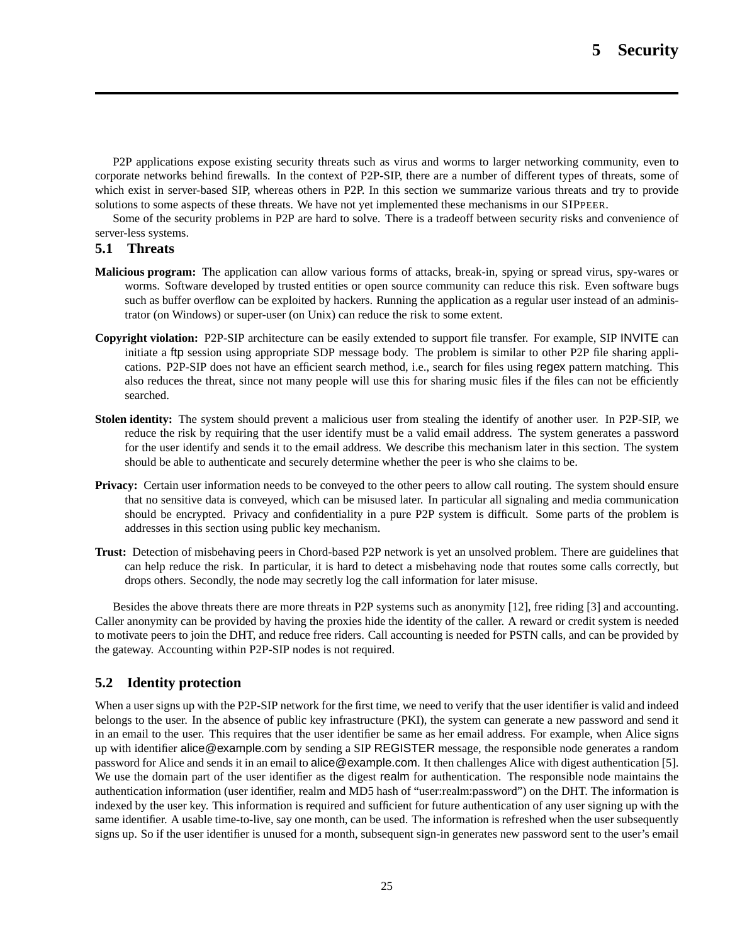P2P applications expose existing security threats such as virus and worms to larger networking community, even to corporate networks behind firewalls. In the context of P2P-SIP, there are a number of different types of threats, some of which exist in server-based SIP, whereas others in P2P. In this section we summarize various threats and try to provide solutions to some aspects of these threats. We have not yet implemented these mechanisms in our SIPPEER.

Some of the security problems in P2P are hard to solve. There is a tradeoff between security risks and convenience of server-less systems.

### **5.1 Threats**

- **Malicious program:** The application can allow various forms of attacks, break-in, spying or spread virus, spy-wares or worms. Software developed by trusted entities or open source community can reduce this risk. Even software bugs such as buffer overflow can be exploited by hackers. Running the application as a regular user instead of an administrator (on Windows) or super-user (on Unix) can reduce the risk to some extent.
- **Copyright violation:** P2P-SIP architecture can be easily extended to support file transfer. For example, SIP INVITE can initiate a ftp session using appropriate SDP message body. The problem is similar to other P2P file sharing applications. P2P-SIP does not have an efficient search method, i.e., search for files using regex pattern matching. This also reduces the threat, since not many people will use this for sharing music files if the files can not be efficiently searched.
- **Stolen identity:** The system should prevent a malicious user from stealing the identify of another user. In P2P-SIP, we reduce the risk by requiring that the user identify must be a valid email address. The system generates a password for the user identify and sends it to the email address. We describe this mechanism later in this section. The system should be able to authenticate and securely determine whether the peer is who she claims to be.
- **Privacy:** Certain user information needs to be conveyed to the other peers to allow call routing. The system should ensure that no sensitive data is conveyed, which can be misused later. In particular all signaling and media communication should be encrypted. Privacy and confidentiality in a pure P2P system is difficult. Some parts of the problem is addresses in this section using public key mechanism.
- **Trust:** Detection of misbehaving peers in Chord-based P2P network is yet an unsolved problem. There are guidelines that can help reduce the risk. In particular, it is hard to detect a misbehaving node that routes some calls correctly, but drops others. Secondly, the node may secretly log the call information for later misuse.

Besides the above threats there are more threats in P2P systems such as anonymity [12], free riding [3] and accounting. Caller anonymity can be provided by having the proxies hide the identity of the caller. A reward or credit system is needed to motivate peers to join the DHT, and reduce free riders. Call accounting is needed for PSTN calls, and can be provided by the gateway. Accounting within P2P-SIP nodes is not required.

### **5.2 Identity protection**

When a user signs up with the P2P-SIP network for the first time, we need to verify that the user identifier is valid and indeed belongs to the user. In the absence of public key infrastructure (PKI), the system can generate a new password and send it in an email to the user. This requires that the user identifier be same as her email address. For example, when Alice signs up with identifier alice@example.com by sending a SIP REGISTER message, the responsible node generates a random password for Alice and sends it in an email to alice@example.com. It then challenges Alice with digest authentication [5]. We use the domain part of the user identifier as the digest realm for authentication. The responsible node maintains the authentication information (user identifier, realm and MD5 hash of "user:realm:password") on the DHT. The information is indexed by the user key. This information is required and sufficient for future authentication of any user signing up with the same identifier. A usable time-to-live, say one month, can be used. The information is refreshed when the user subsequently signs up. So if the user identifier is unused for a month, subsequent sign-in generates new password sent to the user's email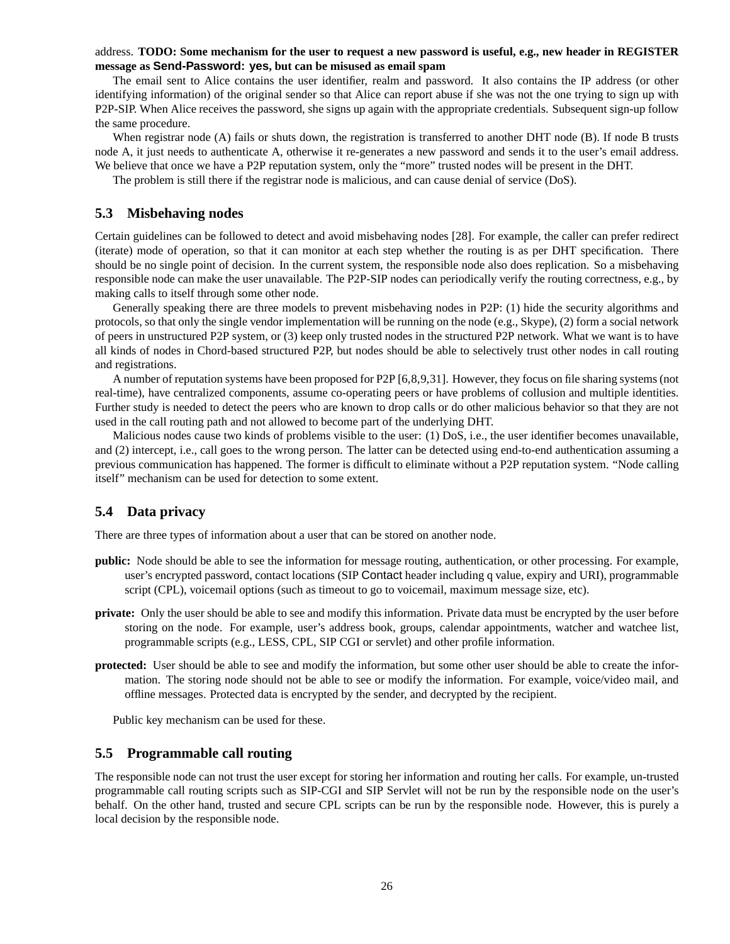### address. **TODO: Some mechanism for the user to request a new password is useful, e.g., new header in REGISTER message as Send-Password: yes, but can be misused as email spam**

The email sent to Alice contains the user identifier, realm and password. It also contains the IP address (or other identifying information) of the original sender so that Alice can report abuse if she was not the one trying to sign up with P2P-SIP. When Alice receives the password, she signs up again with the appropriate credentials. Subsequent sign-up follow the same procedure.

When registrar node (A) fails or shuts down, the registration is transferred to another DHT node (B). If node B trusts node A, it just needs to authenticate A, otherwise it re-generates a new password and sends it to the user's email address. We believe that once we have a P2P reputation system, only the "more" trusted nodes will be present in the DHT.

The problem is still there if the registrar node is malicious, and can cause denial of service (DoS).

### **5.3 Misbehaving nodes**

Certain guidelines can be followed to detect and avoid misbehaving nodes [28]. For example, the caller can prefer redirect (iterate) mode of operation, so that it can monitor at each step whether the routing is as per DHT specification. There should be no single point of decision. In the current system, the responsible node also does replication. So a misbehaving responsible node can make the user unavailable. The P2P-SIP nodes can periodically verify the routing correctness, e.g., by making calls to itself through some other node.

Generally speaking there are three models to prevent misbehaving nodes in P2P: (1) hide the security algorithms and protocols, so that only the single vendor implementation will be running on the node (e.g., Skype), (2) form a social network of peers in unstructured P2P system, or (3) keep only trusted nodes in the structured P2P network. What we want is to have all kinds of nodes in Chord-based structured P2P, but nodes should be able to selectively trust other nodes in call routing and registrations.

A number of reputation systems have been proposed for P2P [6,8,9,31]. However, they focus on file sharing systems (not real-time), have centralized components, assume co-operating peers or have problems of collusion and multiple identities. Further study is needed to detect the peers who are known to drop calls or do other malicious behavior so that they are not used in the call routing path and not allowed to become part of the underlying DHT.

Malicious nodes cause two kinds of problems visible to the user: (1) DoS, i.e., the user identifier becomes unavailable, and (2) intercept, i.e., call goes to the wrong person. The latter can be detected using end-to-end authentication assuming a previous communication has happened. The former is difficult to eliminate without a P2P reputation system. "Node calling itself" mechanism can be used for detection to some extent.

### **5.4 Data privacy**

There are three types of information about a user that can be stored on another node.

- **public:** Node should be able to see the information for message routing, authentication, or other processing. For example, user's encrypted password, contact locations (SIP Contact header including q value, expiry and URI), programmable script (CPL), voicemail options (such as timeout to go to voicemail, maximum message size, etc).
- **private:** Only the user should be able to see and modify this information. Private data must be encrypted by the user before storing on the node. For example, user's address book, groups, calendar appointments, watcher and watchee list, programmable scripts (e.g., LESS, CPL, SIP CGI or servlet) and other profile information.
- **protected:** User should be able to see and modify the information, but some other user should be able to create the information. The storing node should not be able to see or modify the information. For example, voice/video mail, and offline messages. Protected data is encrypted by the sender, and decrypted by the recipient.

Public key mechanism can be used for these.

### **5.5 Programmable call routing**

The responsible node can not trust the user except for storing her information and routing her calls. For example, un-trusted programmable call routing scripts such as SIP-CGI and SIP Servlet will not be run by the responsible node on the user's behalf. On the other hand, trusted and secure CPL scripts can be run by the responsible node. However, this is purely a local decision by the responsible node.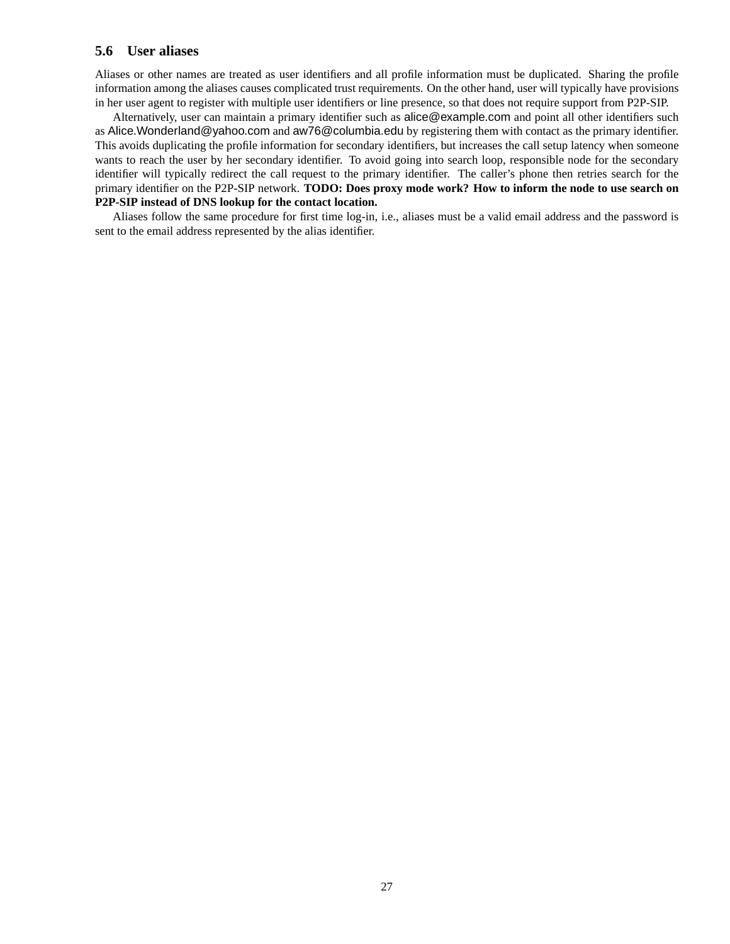### **5.6 User aliases**

Aliases or other names are treated as user identifiers and all profile information must be duplicated. Sharing the profile information among the aliases causes complicated trust requirements. On the other hand, user will typically have provisions in her user agent to register with multiple user identifiers or line presence, so that does not require support from P2P-SIP.

Alternatively, user can maintain a primary identifier such as alice@example.com and point all other identifiers such as Alice.Wonderland@yahoo.com and aw76@columbia.edu by registering them with contact as the primary identifier. This avoids duplicating the profile information for secondary identifiers, but increases the call setup latency when someone wants to reach the user by her secondary identifier. To avoid going into search loop, responsible node for the secondary identifier will typically redirect the call request to the primary identifier. The caller's phone then retries search for the primary identifier on the P2P-SIP network. **TODO: Does proxy mode work? How to inform the node to use search on P2P-SIP instead of DNS lookup for the contact location.**

Aliases follow the same procedure for first time log-in, i.e., aliases must be a valid email address and the password is sent to the email address represented by the alias identifier.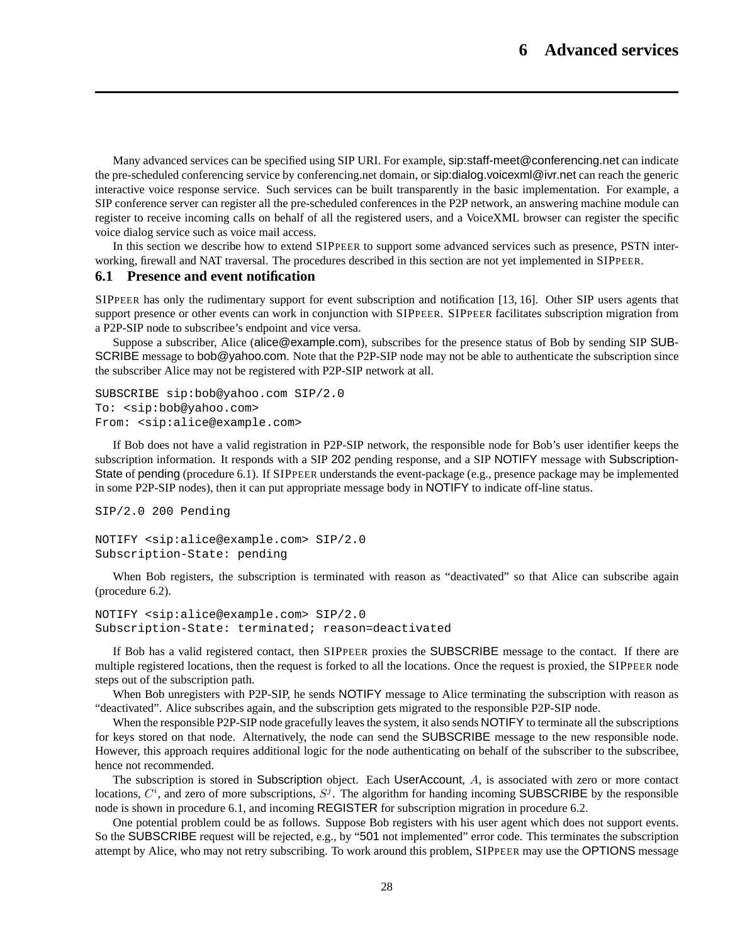Many advanced services can be specified using SIP URI. For example, sip:staff-meet@conferencing.net can indicate the pre-scheduled conferencing service by conferencing.net domain, or sip:dialog.voicexml@ivr.net can reach the generic interactive voice response service. Such services can be built transparently in the basic implementation. For example, a SIP conference server can register all the pre-scheduled conferences in the P2P network, an answering machine module can register to receive incoming calls on behalf of all the registered users, and a VoiceXML browser can register the specific voice dialog service such as voice mail access.

In this section we describe how to extend SIPPEER to support some advanced services such as presence, PSTN interworking, firewall and NAT traversal. The procedures described in this section are not yet implemented in SIPPEER.

### **6.1 Presence and event notification**

SIPPEER has only the rudimentary support for event subscription and notification [13, 16]. Other SIP users agents that support presence or other events can work in conjunction with SIPPEER. SIPPEER facilitates subscription migration from a P2P-SIP node to subscribee's endpoint and vice versa.

Suppose a subscriber, Alice (alice@example.com), subscribes for the presence status of Bob by sending SIP SUB-SCRIBE message to bob@yahoo.com. Note that the P2P-SIP node may not be able to authenticate the subscription since the subscriber Alice may not be registered with P2P-SIP network at all.

```
SUBSCRIBE sip:bob@yahoo.com SIP/2.0
To: <sip:bob@yahoo.com>
From: <sip:alice@example.com>
```
If Bob does not have a valid registration in P2P-SIP network, the responsible node for Bob's user identifier keeps the subscription information. It responds with a SIP 202 pending response, and a SIP NOTIFY message with Subscription-State of pending (procedure 6.1). If SIPPEER understands the event-package (e.g., presence package may be implemented in some P2P-SIP nodes), then it can put appropriate message body in NOTIFY to indicate off-line status.

```
SIP/2.0 200 Pending
NOTIFY <sip:alice@example.com> SIP/2.0
Subscription-State: pending
```
When Bob registers, the subscription is terminated with reason as "deactivated" so that Alice can subscribe again (procedure 6.2).

```
NOTIFY <sip:alice@example.com> SIP/2.0
Subscription-State: terminated; reason=deactivated
```
If Bob has a valid registered contact, then SIPPEER proxies the SUBSCRIBE message to the contact. If there are multiple registered locations, then the request is forked to all the locations. Once the request is proxied, the SIPPEER node steps out of the subscription path.

When Bob unregisters with P2P-SIP, he sends **NOTIFY** message to Alice terminating the subscription with reason as "deactivated". Alice subscribes again, and the subscription gets migrated to the responsible P2P-SIP node.

When the responsible P2P-SIP node gracefully leaves the system, it also sends NOTIFY to terminate all the subscriptions for keys stored on that node. Alternatively, the node can send the SUBSCRIBE message to the new responsible node. However, this approach requires additional logic for the node authenticating on behalf of the subscriber to the subscribee, hence not recommended.

The subscription is stored in Subscription object. Each UserAccount, A, is associated with zero or more contact locations,  $C^i$ , and zero of more subscriptions,  $S^j$ . The algorithm for handing incoming SUBSCRIBE by the responsible node is shown in procedure 6.1, and incoming REGISTER for subscription migration in procedure 6.2.

One potential problem could be as follows. Suppose Bob registers with his user agent which does not support events. So the SUBSCRIBE request will be rejected, e.g., by "501 not implemented" error code. This terminates the subscription attempt by Alice, who may not retry subscribing. To work around this problem, SIPPEER may use the OPTIONS message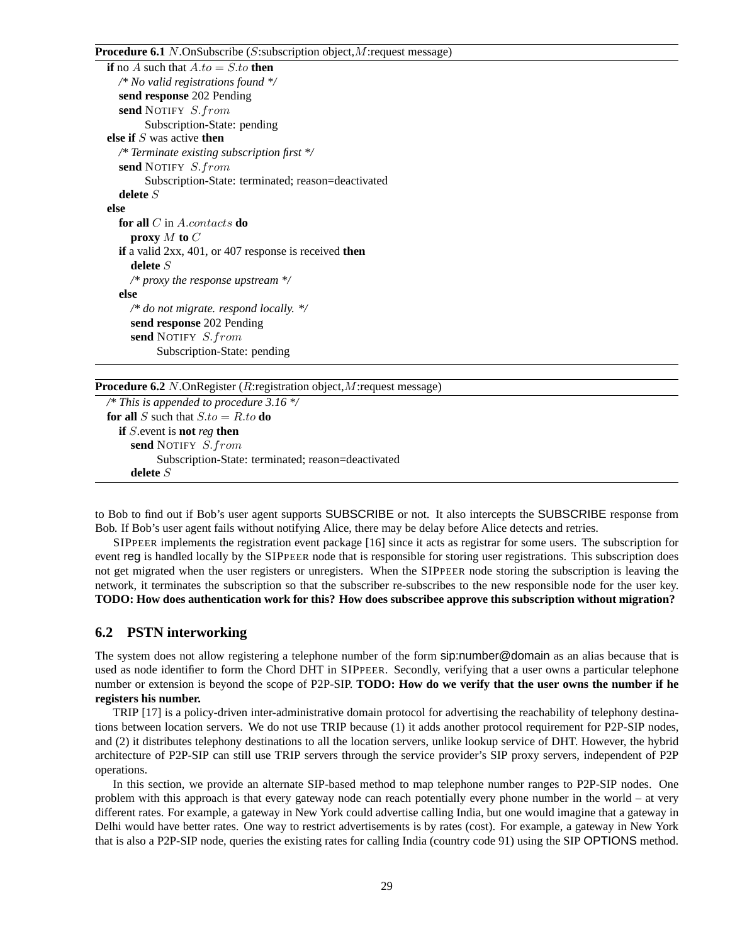#### **Procedure 6.1** N.OnSubscribe (S:subscription object, M: request message)

| <b>if</b> no A such that $A.to = S.to$ then                            |
|------------------------------------------------------------------------|
| /* No valid registrations found $\frac{k}{4}$                          |
| send response 202 Pending                                              |
| send NOTIFY S.from                                                     |
| Subscription-State: pending                                            |
| else if $S$ was active then                                            |
| /* Terminate existing subscription first */                            |
| <b>send</b> NOTIFY <i>S.from</i>                                       |
| Subscription-State: terminated; reason=deactivated                     |
| delete $S$                                                             |
| else                                                                   |
| <b>for all</b> C in A.contacts <b>do</b>                               |
| proxy $M$ to $C$                                                       |
| <b>if</b> a valid $2xx$ , 401, or 407 response is received <b>then</b> |
| delete $S$                                                             |
| /* proxy the response upstream $\frac{k}{4}$                           |
| else                                                                   |
| /* do not migrate. respond locally. $\frac{k}{4}$                      |
| send response 202 Pending                                              |
| <b>send</b> NOTIFY <i>S.from</i>                                       |
| Subscription-State: pending                                            |

**Procedure 6.2** N.OnRegister (R:registration object,M:request message)

```
/* This is appended to procedure 3.16 */
for all S such that S_{t} \mathbf{d} \mathbf{d} \mathbf{d} do
  if S.event is not reg then
     send NOTIFY S.from
            Subscription-State: terminated; reason=deactivated
     delete S
```
to Bob to find out if Bob's user agent supports SUBSCRIBE or not. It also intercepts the SUBSCRIBE response from Bob. If Bob's user agent fails without notifying Alice, there may be delay before Alice detects and retries.

SIPPEER implements the registration event package [16] since it acts as registrar for some users. The subscription for event reg is handled locally by the SIPPEER node that is responsible for storing user registrations. This subscription does not get migrated when the user registers or unregisters. When the SIPPEER node storing the subscription is leaving the network, it terminates the subscription so that the subscriber re-subscribes to the new responsible node for the user key. **TODO: How does authentication work for this? How does subscribee approve this subscription without migration?**

### **6.2 PSTN interworking**

The system does not allow registering a telephone number of the form sip:number@domain as an alias because that is used as node identifier to form the Chord DHT in SIPPEER. Secondly, verifying that a user owns a particular telephone number or extension is beyond the scope of P2P-SIP. **TODO: How do we verify that the user owns the number if he registers his number.**

TRIP [17] is a policy-driven inter-administrative domain protocol for advertising the reachability of telephony destinations between location servers. We do not use TRIP because (1) it adds another protocol requirement for P2P-SIP nodes, and (2) it distributes telephony destinations to all the location servers, unlike lookup service of DHT. However, the hybrid architecture of P2P-SIP can still use TRIP servers through the service provider's SIP proxy servers, independent of P2P operations.

In this section, we provide an alternate SIP-based method to map telephone number ranges to P2P-SIP nodes. One problem with this approach is that every gateway node can reach potentially every phone number in the world – at very different rates. For example, a gateway in New York could advertise calling India, but one would imagine that a gateway in Delhi would have better rates. One way to restrict advertisements is by rates (cost). For example, a gateway in New York that is also a P2P-SIP node, queries the existing rates for calling India (country code 91) using the SIP OPTIONS method.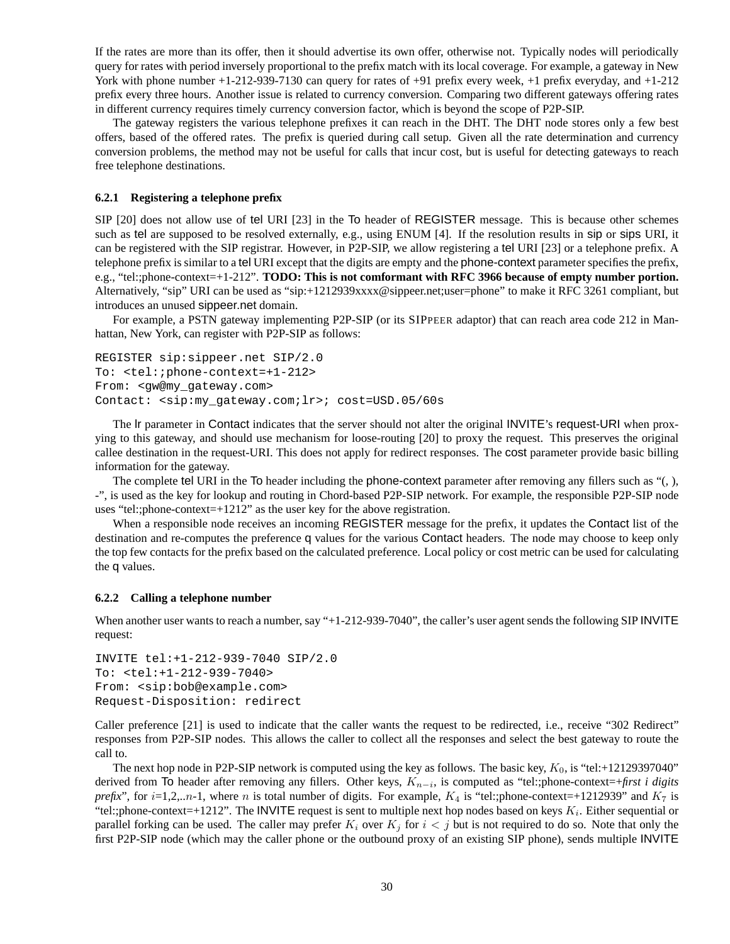If the rates are more than its offer, then it should advertise its own offer, otherwise not. Typically nodes will periodically query for rates with period inversely proportional to the prefix match with its local coverage. For example, a gateway in New York with phone number  $+1-212-939-7130$  can query for rates of  $+91$  prefix every week,  $+1$  prefix everyday, and  $+1-212$ prefix every three hours. Another issue is related to currency conversion. Comparing two different gateways offering rates in different currency requires timely currency conversion factor, which is beyond the scope of P2P-SIP.

The gateway registers the various telephone prefixes it can reach in the DHT. The DHT node stores only a few best offers, based of the offered rates. The prefix is queried during call setup. Given all the rate determination and currency conversion problems, the method may not be useful for calls that incur cost, but is useful for detecting gateways to reach free telephone destinations.

#### **6.2.1 Registering a telephone prefix**

SIP [20] does not allow use of tel URI [23] in the To header of REGISTER message. This is because other schemes such as tel are supposed to be resolved externally, e.g., using ENUM [4]. If the resolution results in sip or sips URI, it can be registered with the SIP registrar. However, in P2P-SIP, we allow registering a tel URI [23] or a telephone prefix. A telephone prefix is similar to a tel URI except that the digits are empty and the phone-context parameter specifies the prefix, e.g., "tel:;phone-context=+1-212". **TODO: This is not comformant with RFC 3966 because of empty number portion.** Alternatively, "sip" URI can be used as "sip:+1212939xxxx@sippeer.net;user=phone" to make it RFC 3261 compliant, but introduces an unused sippeer.net domain.

For example, a PSTN gateway implementing P2P-SIP (or its SIPPEER adaptor) that can reach area code 212 in Manhattan, New York, can register with P2P-SIP as follows:

```
REGISTER sip:sippeer.net SIP/2.0
To: <tel:;phone-context=+1-212>
From: <gw@my_gateway.com>
Contact: <sip:my_gateway.com;lr>; cost=USD.05/60s
```
The lr parameter in Contact indicates that the server should not alter the original INVITE's request-URI when proxying to this gateway, and should use mechanism for loose-routing [20] to proxy the request. This preserves the original callee destination in the request-URI. This does not apply for redirect responses. The cost parameter provide basic billing information for the gateway.

The complete tel URI in the To header including the phone-context parameter after removing any fillers such as "(, ), -", is used as the key for lookup and routing in Chord-based P2P-SIP network. For example, the responsible P2P-SIP node uses "tel:;phone-context=+1212" as the user key for the above registration.

When a responsible node receives an incoming REGISTER message for the prefix, it updates the Contact list of the destination and re-computes the preference q values for the various Contact headers. The node may choose to keep only the top few contacts for the prefix based on the calculated preference. Local policy or cost metric can be used for calculating the q values.

#### **6.2.2 Calling a telephone number**

When another user wants to reach a number, say "+1-212-939-7040", the caller's user agent sends the following SIP INVITE request:

```
INVITE tel:+1-212-939-7040 SIP/2.0
To: <tel:+1-212-939-7040>
From: <sip:bob@example.com>
Request-Disposition: redirect
```
Caller preference [21] is used to indicate that the caller wants the request to be redirected, i.e., receive "302 Redirect" responses from P2P-SIP nodes. This allows the caller to collect all the responses and select the best gateway to route the call to.

The next hop node in P2P-SIP network is computed using the key as follows. The basic key,  $K_0$ , is "tel:+12129397040" derived from To header after removing any fillers. Other keys,  $K_{n-i}$ , is computed as "tel:;phone-context=+*first i digits prefix*", for *i*=1,2,..*n*-1, where *n* is total number of digits. For example,  $K_4$  is "tel:;phone-context=+1212939" and  $K_7$  is "tel:;phone-context=+1212". The INVITE request is sent to multiple next hop nodes based on keys  $K_i$ . Either sequential or parallel forking can be used. The caller may prefer  $K_i$  over  $K_j$  for  $i < j$  but is not required to do so. Note that only the first P2P-SIP node (which may the caller phone or the outbound proxy of an existing SIP phone), sends multiple INVITE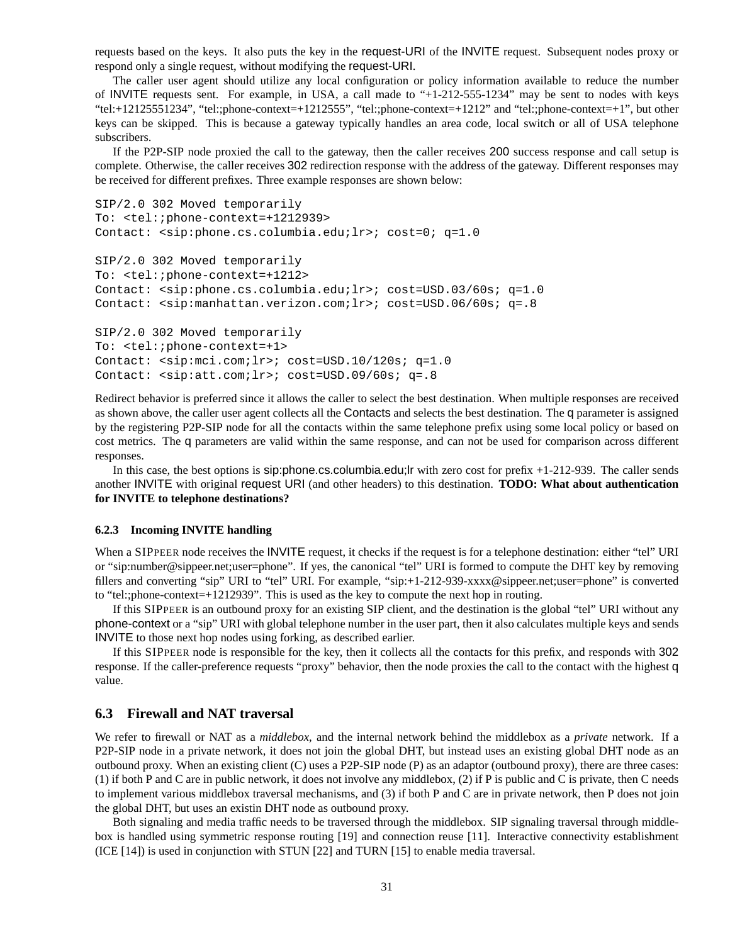requests based on the keys. It also puts the key in the request-URI of the INVITE request. Subsequent nodes proxy or respond only a single request, without modifying the request-URI.

The caller user agent should utilize any local configuration or policy information available to reduce the number of INVITE requests sent. For example, in USA, a call made to "+1-212-555-1234" may be sent to nodes with keys "tel:+12125551234", "tel:;phone-context=+1212555", "tel:;phone-context=+1212" and "tel:;phone-context=+1", but other keys can be skipped. This is because a gateway typically handles an area code, local switch or all of USA telephone subscribers.

If the P2P-SIP node proxied the call to the gateway, then the caller receives 200 success response and call setup is complete. Otherwise, the caller receives 302 redirection response with the address of the gateway. Different responses may be received for different prefixes. Three example responses are shown below:

```
SIP/2.0 302 Moved temporarily
To: <tel:;phone-context=+1212939>
Contact: <sip:phone.cs.columbia.edu;lr>; cost=0; q=1.0
SIP/2.0 302 Moved temporarily
To: <tel:;phone-context=+1212>
Contact: <sip:phone.cs.columbia.edu;lr>; cost=USD.03/60s; q=1.0
Contact: <sip:manhattan.verizon.com;lr>; cost=USD.06/60s; q=.8
SIP/2.0 302 Moved temporarily
To: <tel:;phone-context=+1>
Contact: <sip:mci.com;lr>; cost=USD.10/120s; q=1.0
```
Contact: <sip:att.com;lr>; cost=USD.09/60s; q=.8 Redirect behavior is preferred since it allows the caller to select the best destination. When multiple responses are received as shown above, the caller user agent collects all the Contacts and selects the best destination. The q parameter is assigned by the registering P2P-SIP node for all the contacts within the same telephone prefix using some local policy or based on cost metrics. The q parameters are valid within the same response, and can not be used for comparison across different

responses. In this case, the best options is sip:phone.cs.columbia.edu;lr with zero cost for prefix +1-212-939. The caller sends another INVITE with original request URI (and other headers) to this destination. **TODO: What about authentication for INVITE to telephone destinations?**

#### **6.2.3 Incoming INVITE handling**

When a SIPPEER node receives the INVITE request, it checks if the request is for a telephone destination: either "tel" URI or "sip:number@sippeer.net;user=phone". If yes, the canonical "tel" URI is formed to compute the DHT key by removing fillers and converting "sip" URI to "tel" URI. For example, "sip:+1-212-939-xxxx@sippeer.net;user=phone" is converted to "tel:;phone-context=+1212939". This is used as the key to compute the next hop in routing.

If this SIPPEER is an outbound proxy for an existing SIP client, and the destination is the global "tel" URI without any phone-context or a "sip" URI with global telephone number in the user part, then it also calculates multiple keys and sends INVITE to those next hop nodes using forking, as described earlier.

If this SIPPEER node is responsible for the key, then it collects all the contacts for this prefix, and responds with 302 response. If the caller-preference requests "proxy" behavior, then the node proxies the call to the contact with the highest q value.

### **6.3 Firewall and NAT traversal**

We refer to firewall or NAT as a *middlebox*, and the internal network behind the middlebox as a *private* network. If a P2P-SIP node in a private network, it does not join the global DHT, but instead uses an existing global DHT node as an outbound proxy. When an existing client (C) uses a P2P-SIP node (P) as an adaptor (outbound proxy), there are three cases: (1) if both P and C are in public network, it does not involve any middlebox, (2) if P is public and C is private, then C needs to implement various middlebox traversal mechanisms, and (3) if both P and C are in private network, then P does not join the global DHT, but uses an existin DHT node as outbound proxy.

Both signaling and media traffic needs to be traversed through the middlebox. SIP signaling traversal through middlebox is handled using symmetric response routing [19] and connection reuse [11]. Interactive connectivity establishment (ICE [14]) is used in conjunction with STUN [22] and TURN [15] to enable media traversal.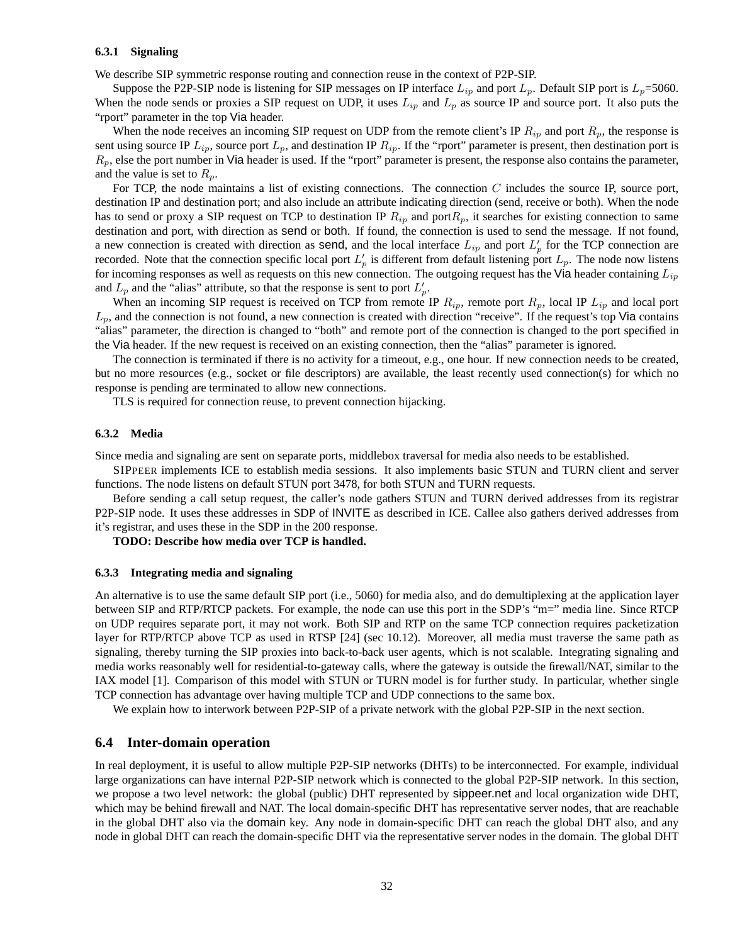#### **6.3.1 Signaling**

We describe SIP symmetric response routing and connection reuse in the context of P2P-SIP.

Suppose the P2P-SIP node is listening for SIP messages on IP interface  $L_{ip}$  and port  $L_p$ . Default SIP port is  $L_p$ =5060. When the node sends or proxies a SIP request on UDP, it uses  $L_{ip}$  and  $L_p$  as source IP and source port. It also puts the "rport" parameter in the top Via header.

When the node receives an incoming SIP request on UDP from the remote client's IP  $R_{ip}$  and port  $R_p$ , the response is sent using source IP  $L_{ip}$ , source port  $L_p$ , and destination IP  $R_{ip}$ . If the "rport" parameter is present, then destination port is  $R_p$ , else the port number in Via header is used. If the "rport" parameter is present, the response also contains the parameter, and the value is set to  $R_p$ .

For TCP, the node maintains a list of existing connections. The connection  $C$  includes the source IP, source port, destination IP and destination port; and also include an attribute indicating direction (send, receive or both). When the node has to send or proxy a SIP request on TCP to destination IP  $R_{ip}$  and port $R_p$ , it searches for existing connection to same destination and port, with direction as send or both. If found, the connection is used to send the message. If not found, a new connection is created with direction as send, and the local interface  $L_{ip}$  and port  $L'_p$  for the TCP connection are recorded. Note that the connection specific local port  $L'_p$  is different from default listening port  $L_p$ . The node now listens for incoming responses as well as requests on this new connection. The outgoing request has the Via header containing  $L_{ip}$ and  $L_p$  and the "alias" attribute, so that the response is sent to port  $L'_p$ .

When an incoming SIP request is received on TCP from remote IP  $R_{ip}$ , remote port  $R_p$ , local IP  $L_{ip}$  and local port  $L_p$ , and the connection is not found, a new connection is created with direction "receive". If the request's top Via contains "alias" parameter, the direction is changed to "both" and remote port of the connection is changed to the port specified in the Via header. If the new request is received on an existing connection, then the "alias" parameter is ignored.

The connection is terminated if there is no activity for a timeout, e.g., one hour. If new connection needs to be created, but no more resources (e.g., socket or file descriptors) are available, the least recently used connection(s) for which no response is pending are terminated to allow new connections.

TLS is required for connection reuse, to prevent connection hijacking.

#### **6.3.2 Media**

Since media and signaling are sent on separate ports, middlebox traversal for media also needs to be established.

SIPPEER implements ICE to establish media sessions. It also implements basic STUN and TURN client and server functions. The node listens on default STUN port 3478, for both STUN and TURN requests.

Before sending a call setup request, the caller's node gathers STUN and TURN derived addresses from its registrar P2P-SIP node. It uses these addresses in SDP of INVITE as described in ICE. Callee also gathers derived addresses from it's registrar, and uses these in the SDP in the 200 response.

**TODO: Describe how media over TCP is handled.**

#### **6.3.3 Integrating media and signaling**

An alternative is to use the same default SIP port (i.e., 5060) for media also, and do demultiplexing at the application layer between SIP and RTP/RTCP packets. For example, the node can use this port in the SDP's "m=" media line. Since RTCP on UDP requires separate port, it may not work. Both SIP and RTP on the same TCP connection requires packetization layer for RTP/RTCP above TCP as used in RTSP [24] (sec 10.12). Moreover, all media must traverse the same path as signaling, thereby turning the SIP proxies into back-to-back user agents, which is not scalable. Integrating signaling and media works reasonably well for residential-to-gateway calls, where the gateway is outside the firewall/NAT, similar to the IAX model [1]. Comparison of this model with STUN or TURN model is for further study. In particular, whether single TCP connection has advantage over having multiple TCP and UDP connections to the same box.

We explain how to interwork between P2P-SIP of a private network with the global P2P-SIP in the next section.

### **6.4 Inter-domain operation**

In real deployment, it is useful to allow multiple P2P-SIP networks (DHTs) to be interconnected. For example, individual large organizations can have internal P2P-SIP network which is connected to the global P2P-SIP network. In this section, we propose a two level network: the global (public) DHT represented by sippeer.net and local organization wide DHT, which may be behind firewall and NAT. The local domain-specific DHT has representative server nodes, that are reachable in the global DHT also via the domain key. Any node in domain-specific DHT can reach the global DHT also, and any node in global DHT can reach the domain-specific DHT via the representative server nodes in the domain. The global DHT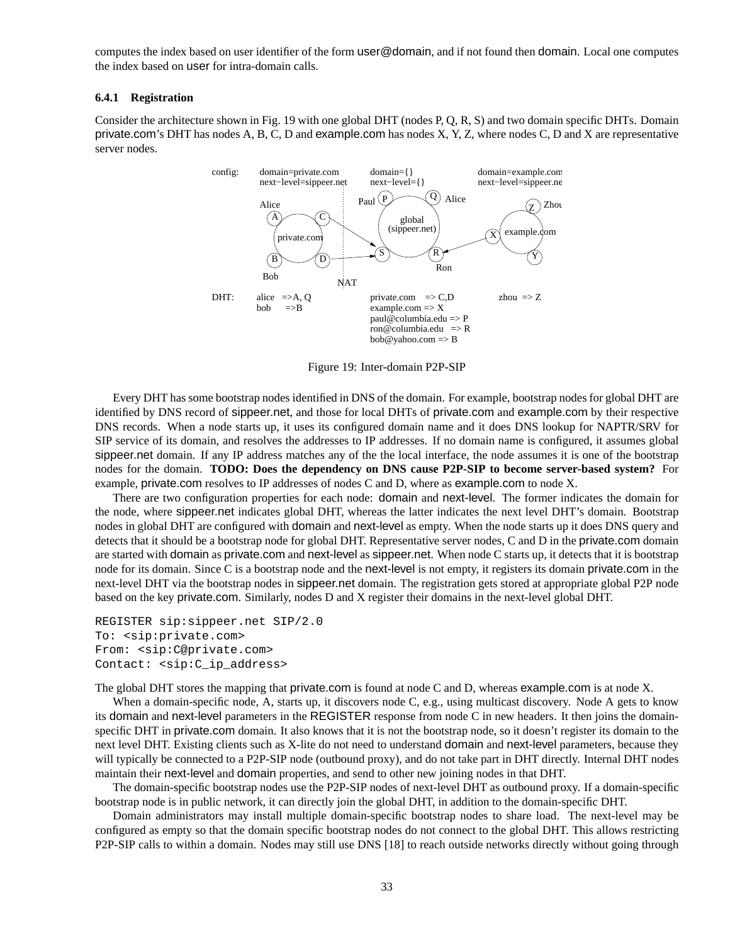computes the index based on user identifier of the form user@domain, and if not found then domain. Local one computes the index based on user for intra-domain calls.

#### **6.4.1 Registration**

Consider the architecture shown in Fig. 19 with one global DHT (nodes P, Q, R, S) and two domain specific DHTs. Domain private.com's DHT has nodes A, B, C, D and example.com has nodes X, Y, Z, where nodes C, D and X are representative server nodes.



Figure 19: Inter-domain P2P-SIP

Every DHT has some bootstrap nodes identified in DNS of the domain. For example, bootstrap nodes for global DHT are identified by DNS record of sippeer.net, and those for local DHTs of private.com and example.com by their respective DNS records. When a node starts up, it uses its configured domain name and it does DNS lookup for NAPTR/SRV for SIP service of its domain, and resolves the addresses to IP addresses. If no domain name is configured, it assumes global sippeer.net domain. If any IP address matches any of the the local interface, the node assumes it is one of the bootstrap nodes for the domain. **TODO: Does the dependency on DNS cause P2P-SIP to become server-based system?** For example, private.com resolves to IP addresses of nodes C and D, where as example.com to node X.

There are two configuration properties for each node: domain and next-level. The former indicates the domain for the node, where sippeer.net indicates global DHT, whereas the latter indicates the next level DHT's domain. Bootstrap nodes in global DHT are configured with domain and next-level as empty. When the node starts up it does DNS query and detects that it should be a bootstrap node for global DHT. Representative server nodes, C and D in the private.com domain are started with domain as private.com and next-level as sippeer.net. When node C starts up, it detects that it is bootstrap node for its domain. Since C is a bootstrap node and the next-level is not empty, it registers its domain private.com in the next-level DHT via the bootstrap nodes in sippeer.net domain. The registration gets stored at appropriate global P2P node based on the key private.com. Similarly, nodes D and X register their domains in the next-level global DHT.

```
REGISTER sip:sippeer.net SIP/2.0
To: <sip:private.com>
From: <sip:C@private.com>
Contact: <sip:C ip address>
```
The global DHT stores the mapping that private.com is found at node C and D, whereas example.com is at node X.

When a domain-specific node, A, starts up, it discovers node C, e.g., using multicast discovery. Node A gets to know its domain and next-level parameters in the REGISTER response from node C in new headers. It then joins the domainspecific DHT in private.com domain. It also knows that it is not the bootstrap node, so it doesn't register its domain to the next level DHT. Existing clients such as X-lite do not need to understand domain and next-level parameters, because they will typically be connected to a P2P-SIP node (outbound proxy), and do not take part in DHT directly. Internal DHT nodes maintain their next-level and domain properties, and send to other new joining nodes in that DHT.

The domain-specific bootstrap nodes use the P2P-SIP nodes of next-level DHT as outbound proxy. If a domain-specific bootstrap node is in public network, it can directly join the global DHT, in addition to the domain-specific DHT.

Domain administrators may install multiple domain-specific bootstrap nodes to share load. The next-level may be configured as empty so that the domain specific bootstrap nodes do not connect to the global DHT. This allows restricting P2P-SIP calls to within a domain. Nodes may still use DNS [18] to reach outside networks directly without going through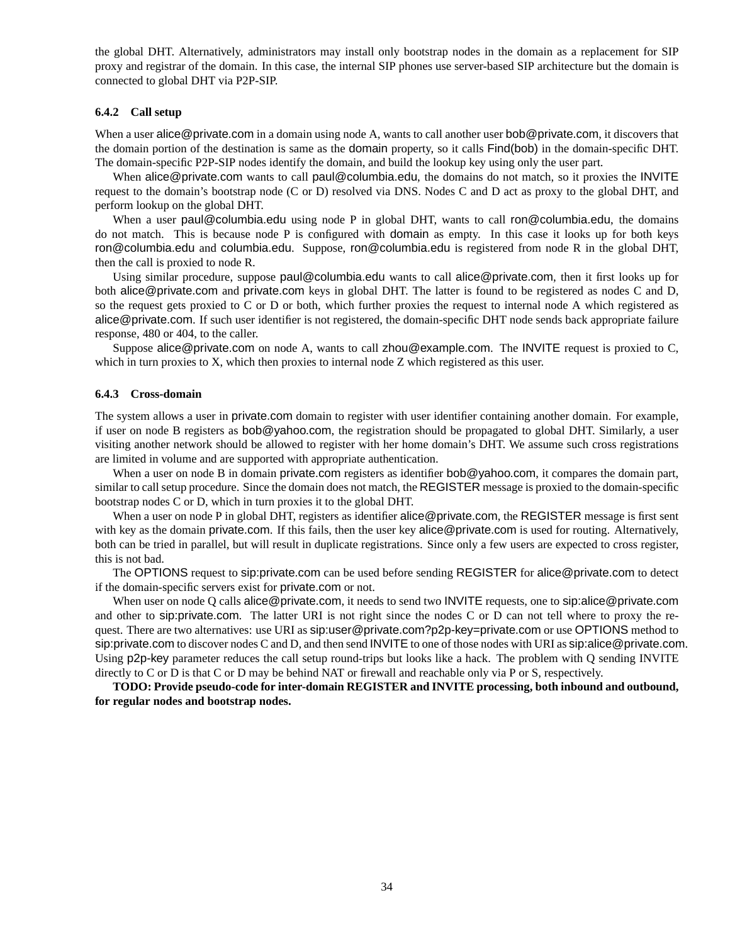the global DHT. Alternatively, administrators may install only bootstrap nodes in the domain as a replacement for SIP proxy and registrar of the domain. In this case, the internal SIP phones use server-based SIP architecture but the domain is connected to global DHT via P2P-SIP.

#### **6.4.2 Call setup**

When a user alice@private.com in a domain using node A, wants to call another user bob@private.com, it discovers that the domain portion of the destination is same as the domain property, so it calls Find(bob) in the domain-specific DHT. The domain-specific P2P-SIP nodes identify the domain, and build the lookup key using only the user part.

When alice@private.com wants to call paul@columbia.edu, the domains do not match, so it proxies the INVITE request to the domain's bootstrap node (C or D) resolved via DNS. Nodes C and D act as proxy to the global DHT, and perform lookup on the global DHT.

When a user paul@columbia.edu using node P in global DHT, wants to call ron@columbia.edu, the domains do not match. This is because node P is configured with domain as empty. In this case it looks up for both keys ron@columbia.edu and columbia.edu. Suppose, ron@columbia.edu is registered from node R in the global DHT, then the call is proxied to node R.

Using similar procedure, suppose paul@columbia.edu wants to call alice@private.com, then it first looks up for both alice@private.com and private.com keys in global DHT. The latter is found to be registered as nodes C and D, so the request gets proxied to C or D or both, which further proxies the request to internal node A which registered as alice@private.com. If such user identifier is not registered, the domain-specific DHT node sends back appropriate failure response, 480 or 404, to the caller.

Suppose alice@private.com on node A, wants to call zhou@example.com. The INVITE request is proxied to C, which in turn proxies to X, which then proxies to internal node Z which registered as this user.

#### **6.4.3 Cross-domain**

The system allows a user in private.com domain to register with user identifier containing another domain. For example, if user on node B registers as bob@yahoo.com, the registration should be propagated to global DHT. Similarly, a user visiting another network should be allowed to register with her home domain's DHT. We assume such cross registrations are limited in volume and are supported with appropriate authentication.

When a user on node B in domain private.com registers as identifier bob@yahoo.com, it compares the domain part, similar to call setup procedure. Since the domain does not match, the REGISTER message is proxied to the domain-specific bootstrap nodes C or D, which in turn proxies it to the global DHT.

When a user on node P in global DHT, registers as identifier alice@private.com, the REGISTER message is first sent with key as the domain private.com. If this fails, then the user key alice@private.com is used for routing. Alternatively, both can be tried in parallel, but will result in duplicate registrations. Since only a few users are expected to cross register, this is not bad.

The OPTIONS request to sip:private.com can be used before sending REGISTER for alice@private.com to detect if the domain-specific servers exist for private.com or not.

When user on node Q calls alice@private.com, it needs to send two INVITE requests, one to sip:alice@private.com and other to sip:private.com. The latter URI is not right since the nodes C or D can not tell where to proxy the request. There are two alternatives: use URI as sip:user@private.com?p2p-key=private.com or use OPTIONS method to sip:private.com to discover nodes C and D, and then send INVITE to one of those nodes with URI as sip:alice@private.com. Using p2p-key parameter reduces the call setup round-trips but looks like a hack. The problem with Q sending INVITE directly to C or D is that C or D may be behind NAT or firewall and reachable only via P or S, respectively.

**TODO: Provide pseudo-code for inter-domain REGISTER and INVITE processing, both inbound and outbound, for regular nodes and bootstrap nodes.**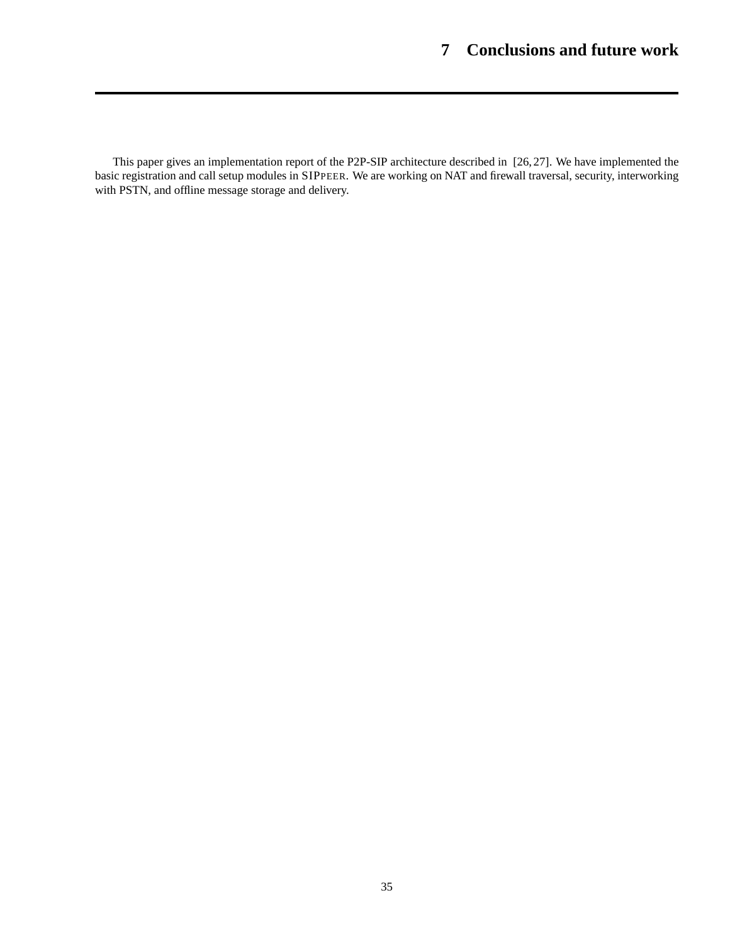This paper gives an implementation report of the P2P-SIP architecture described in [26, 27]. We have implemented the basic registration and call setup modules in SIPPEER. We are working on NAT and firewall traversal, security, interworking with PSTN, and offline message storage and delivery.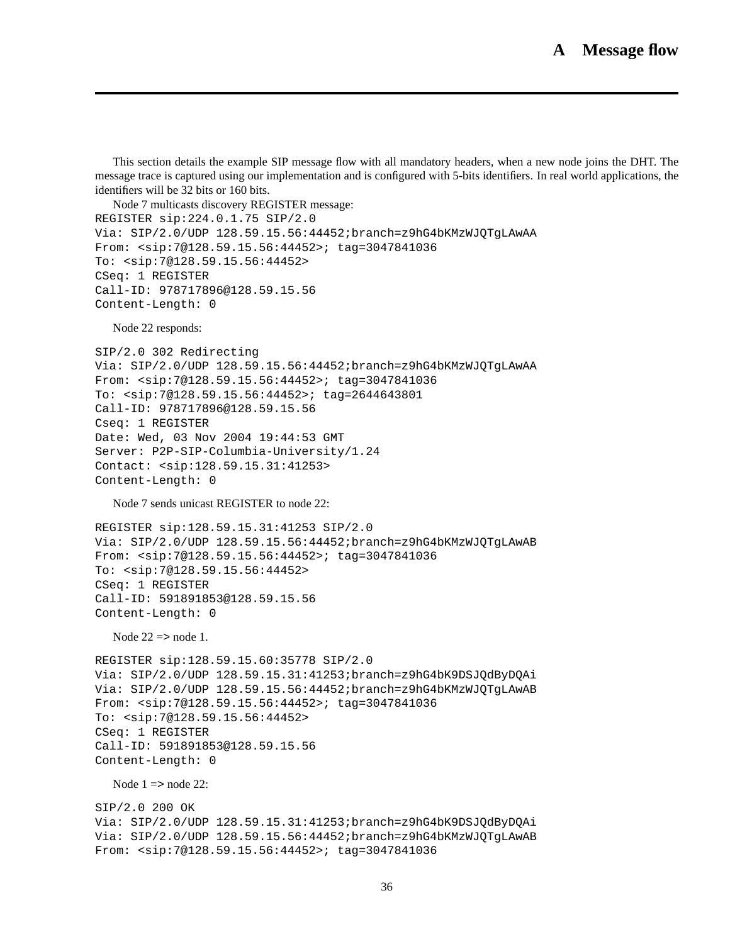This section details the example SIP message flow with all mandatory headers, when a new node joins the DHT. The message trace is captured using our implementation and is configured with 5-bits identifiers. In real world applications, the identifiers will be 32 bits or 160 bits.

Node 7 multicasts discovery REGISTER message: REGISTER sip:224.0.1.75 SIP/2.0 Via: SIP/2.0/UDP 128.59.15.56:44452;branch=z9hG4bKMzWJQTgLAwAA From: <sip:7@128.59.15.56:44452>; tag=3047841036 To: <sip:7@128.59.15.56:44452> CSeq: 1 REGISTER Call-ID: 978717896@128.59.15.56 Content-Length: 0

Node 22 responds:

```
SIP/2.0 302 Redirecting
Via: SIP/2.0/UDP 128.59.15.56:44452;branch=z9hG4bKMzWJQTgLAwAA
From: <sip:7@128.59.15.56:44452>; tag=3047841036
To: <sip:7@128.59.15.56:44452>; tag=2644643801
Call-ID: 978717896@128.59.15.56
Cseq: 1 REGISTER
Date: Wed, 03 Nov 2004 19:44:53 GMT
Server: P2P-SIP-Columbia-University/1.24
Contact: <sip:128.59.15.31:41253>
Content-Length: 0
```
Node 7 sends unicast REGISTER to node 22:

REGISTER sip:128.59.15.31:41253 SIP/2.0 Via: SIP/2.0/UDP 128.59.15.56:44452;branch=z9hG4bKMzWJQTgLAwAB From: <sip:7@128.59.15.56:44452>; tag=3047841036 To: <sip:7@128.59.15.56:44452> CSeq: 1 REGISTER Call-ID: 591891853@128.59.15.56 Content-Length: 0

Node  $22 \Rightarrow$  node 1.

```
REGISTER sip:128.59.15.60:35778 SIP/2.0
Via: SIP/2.0/UDP 128.59.15.31:41253;branch=z9hG4bK9DSJQdByDQAi
Via: SIP/2.0/UDP 128.59.15.56:44452;branch=z9hG4bKMzWJQTgLAwAB
From: <sip:7@128.59.15.56:44452>; tag=3047841036
To: <sip:7@128.59.15.56:44452>
CSeq: 1 REGISTER
Call-ID: 591891853@128.59.15.56
Content-Length: 0
```
Node  $1 \equiv$  node 22:

```
SIP/2.0 200 OK
Via: SIP/2.0/UDP 128.59.15.31:41253;branch=z9hG4bK9DSJQdByDQAi
Via: SIP/2.0/UDP 128.59.15.56:44452;branch=z9hG4bKMzWJQTgLAwAB
From: <sip:7@128.59.15.56:44452>; tag=3047841036
```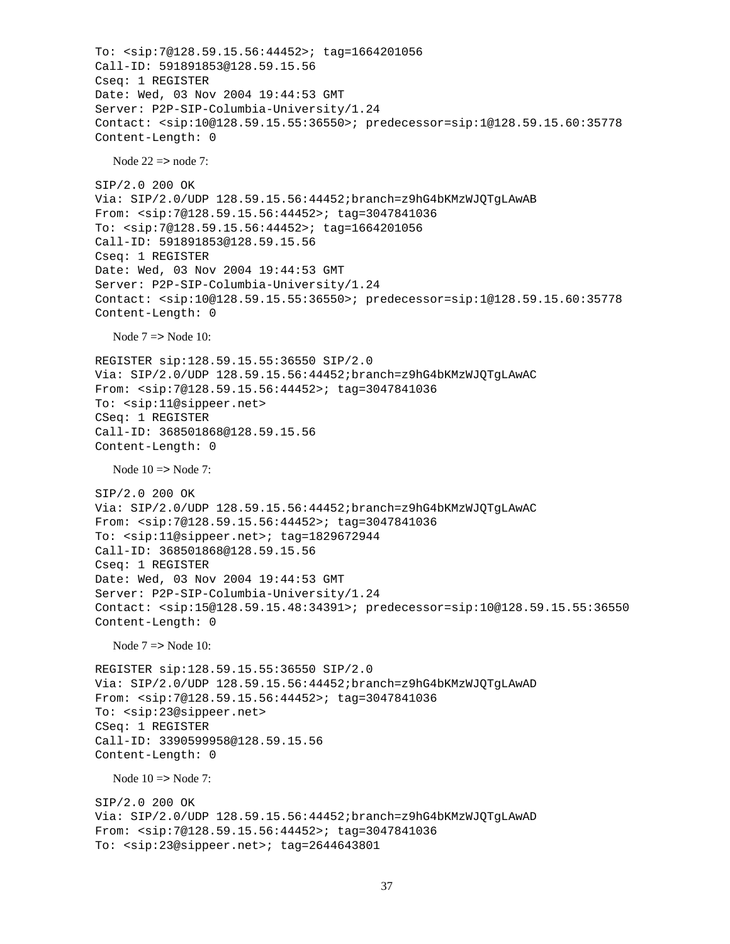```
To: <sip:7@128.59.15.56:44452>; tag=1664201056
Call-ID: 591891853@128.59.15.56
Cseq: 1 REGISTER
Date: Wed, 03 Nov 2004 19:44:53 GMT
Server: P2P-SIP-Columbia-University/1.24
Contact: <sip:10@128.59.15.55:36550>; predecessor=sip:1@128.59.15.60:35778
Content-Length: 0
  Node 22 \Rightarrow node 7:
SIP/2.0 200 OK
Via: SIP/2.0/UDP 128.59.15.56:44452;branch=z9hG4bKMzWJQTgLAwAB
From: <sip:7@128.59.15.56:44452>; tag=3047841036
To: <sip:7@128.59.15.56:44452>; tag=1664201056
Call-ID: 591891853@128.59.15.56
Cseq: 1 REGISTER
Date: Wed, 03 Nov 2004 19:44:53 GMT
Server: P2P-SIP-Columbia-University/1.24
Contact: <sip:10@128.59.15.55:36550>; predecessor=sip:1@128.59.15.60:35778
Content-Length: 0
  Node 7 \Rightarrow Node 10:
REGISTER sip:128.59.15.55:36550 SIP/2.0
Via: SIP/2.0/UDP 128.59.15.56:44452;branch=z9hG4bKMzWJQTgLAwAC
From: <sip:7@128.59.15.56:44452>; tag=3047841036
To: <sip:11@sippeer.net>
CSeq: 1 REGISTER
Call-ID: 368501868@128.59.15.56
Content-Length: 0
  Node 10 \Rightarrow Node 7:
SIP/2.0 200 OK
Via: SIP/2.0/UDP 128.59.15.56:44452;branch=z9hG4bKMzWJQTgLAwAC
From: <sip:7@128.59.15.56:44452>; tag=3047841036
To: <sip:11@sippeer.net>; tag=1829672944
Call-ID: 368501868@128.59.15.56
Cseq: 1 REGISTER
Date: Wed, 03 Nov 2004 19:44:53 GMT
Server: P2P-SIP-Columbia-University/1.24
Contact: <sip:15@128.59.15.48:34391>; predecessor=sip:10@128.59.15.55:36550
Content-Length: 0
  Node 7 => Node 10:
REGISTER sip:128.59.15.55:36550 SIP/2.0
Via: SIP/2.0/UDP 128.59.15.56:44452;branch=z9hG4bKMzWJQTgLAwAD
From: <sip:7@128.59.15.56:44452>; tag=3047841036
To: <sip:23@sippeer.net>
CSeq: 1 REGISTER
Call-ID: 3390599958@128.59.15.56
Content-Length: 0
  Node 10 \equiv Node 7 \cdotSIP/2.0 200 OK
Via: SIP/2.0/UDP 128.59.15.56:44452;branch=z9hG4bKMzWJQTgLAwAD
From: <sip:7@128.59.15.56:44452>; tag=3047841036
To: <sip:23@sippeer.net>; tag=2644643801
```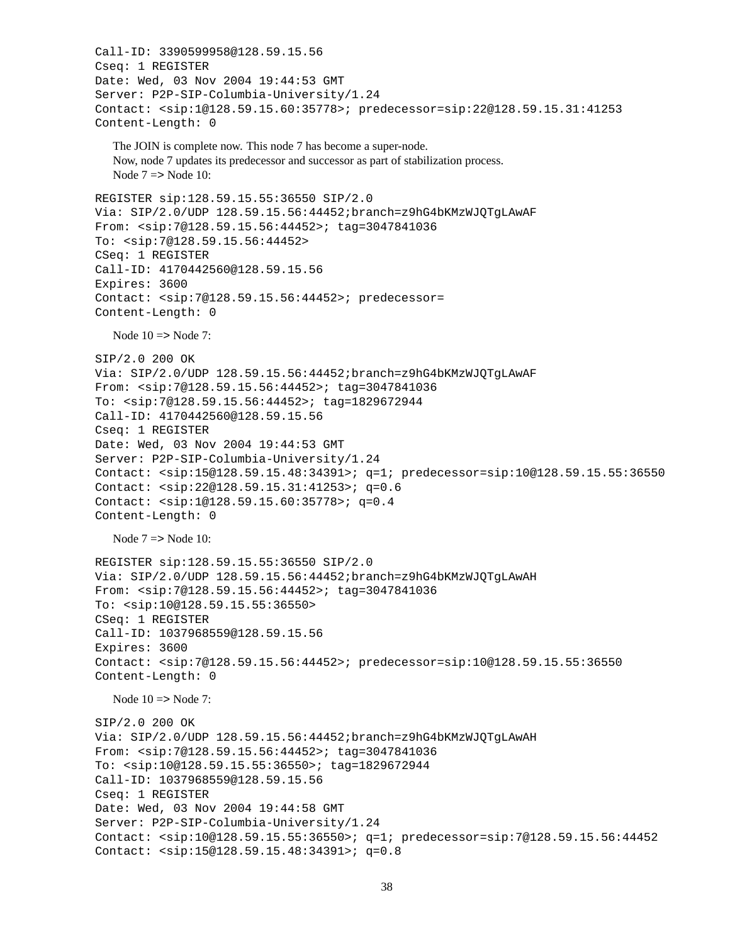```
Call-ID: 3390599958@128.59.15.56
Cseq: 1 REGISTER
Date: Wed, 03 Nov 2004 19:44:53 GMT
Server: P2P-SIP-Columbia-University/1.24
Contact: <sip:1@128.59.15.60:35778>; predecessor=sip:22@128.59.15.31:41253
Content-Length: 0
  The JOIN is complete now. This node 7 has become a super-node.
  Now, node 7 updates its predecessor and successor as part of stabilization process.
  Node 7 => Node 10:
REGISTER sip:128.59.15.55:36550 SIP/2.0
Via: SIP/2.0/UDP 128.59.15.56:44452;branch=z9hG4bKMzWJQTgLAwAF
From: <sip:7@128.59.15.56:44452>; tag=3047841036
To: <sip:7@128.59.15.56:44452>
CSeq: 1 REGISTER
Call-ID: 4170442560@128.59.15.56
Expires: 3600
Contact: <sip:7@128.59.15.56:44452>; predecessor=
Content-Length: 0
  Node 10 \Rightarrow Node 7:
SIP/2.0 200 OK
Via: SIP/2.0/UDP 128.59.15.56:44452;branch=z9hG4bKMzWJQTgLAwAF
From: <sip:7@128.59.15.56:44452>; tag=3047841036
To: <sip:7@128.59.15.56:44452>; tag=1829672944
Call-ID: 4170442560@128.59.15.56
Cseq: 1 REGISTER
Date: Wed, 03 Nov 2004 19:44:53 GMT
Server: P2P-SIP-Columbia-University/1.24
Contact: <sip:15@128.59.15.48:34391>; q=1; predecessor=sip:10@128.59.15.55:36550
Contact: <sip:22@128.59.15.31:41253>; q=0.6
Contact: <sip:1@128.59.15.60:35778>; q=0.4
Content-Length: 0
  Node 7 \Rightarrow Node 10:
REGISTER sip:128.59.15.55:36550 SIP/2.0
Via: SIP/2.0/UDP 128.59.15.56:44452;branch=z9hG4bKMzWJQTgLAwAH
From: <sip:7@128.59.15.56:44452>; tag=3047841036
To: <sip:10@128.59.15.55:36550>
CSeq: 1 REGISTER
Call-ID: 1037968559@128.59.15.56
Expires: 3600
Contact: <sip:7@128.59.15.56:44452>; predecessor=sip:10@128.59.15.55:36550
Content-Length: 0
  Node 10 \Rightarrow Node 7:
SIP/2.0 200 OK
Via: SIP/2.0/UDP 128.59.15.56:44452;branch=z9hG4bKMzWJQTgLAwAH
From: <sip:7@128.59.15.56:44452>; tag=3047841036
To: <sip:10@128.59.15.55:36550>; tag=1829672944
Call-ID: 1037968559@128.59.15.56
Cseq: 1 REGISTER
Date: Wed, 03 Nov 2004 19:44:58 GMT
Server: P2P-SIP-Columbia-University/1.24
Contact: <sip:10@128.59.15.55:36550>; q=1; predecessor=sip:7@128.59.15.56:44452
Contact: <sip:15@128.59.15.48:34391>; q=0.8
```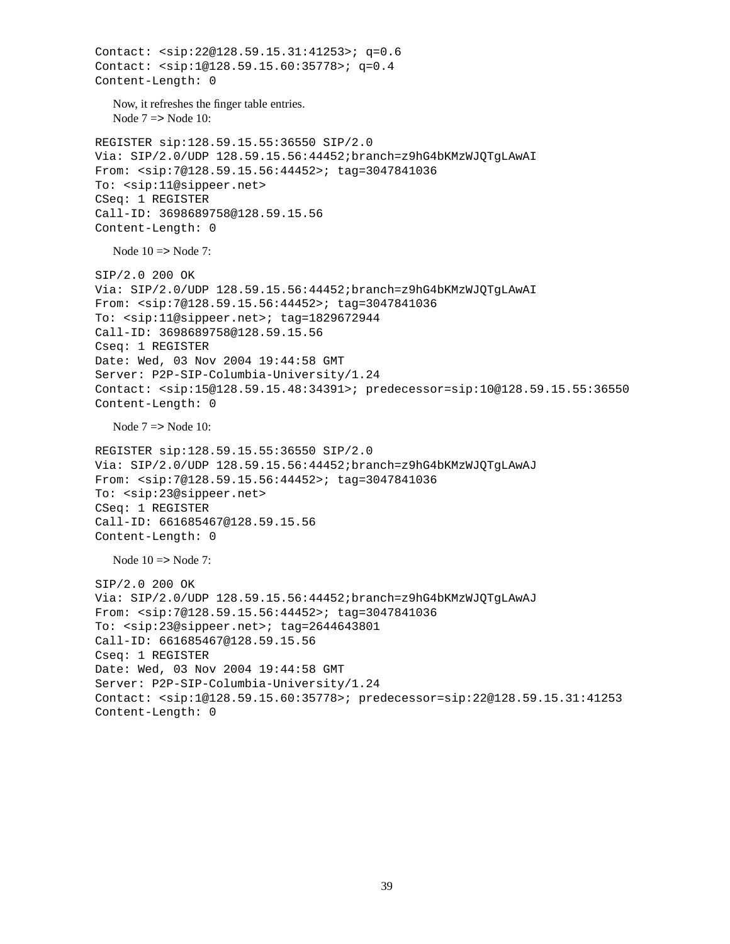```
Contact: <sip:22@128.59.15.31:41253>; q=0.6
Contact: <sip:1@128.59.15.60:35778>; q=0.4
Content-Length: 0
  Now, it refreshes the finger table entries.
  Node 7 => Node 10:
REGISTER sip:128.59.15.55:36550 SIP/2.0
Via: SIP/2.0/UDP 128.59.15.56:44452;branch=z9hG4bKMzWJQTgLAwAI
From: <sip:7@128.59.15.56:44452>; tag=3047841036
To: <sip:11@sippeer.net>
CSeq: 1 REGISTER
Call-ID: 3698689758@128.59.15.56
Content-Length: 0
  Node 10 \Rightarrow Node 7:
SIP/2.0 200 OK
Via: SIP/2.0/UDP 128.59.15.56:44452;branch=z9hG4bKMzWJQTgLAwAI
From: <sip:7@128.59.15.56:44452>; tag=3047841036
To: <sip:11@sippeer.net>; tag=1829672944
Call-ID: 3698689758@128.59.15.56
Cseq: 1 REGISTER
Date: Wed, 03 Nov 2004 19:44:58 GMT
Server: P2P-SIP-Columbia-University/1.24
Contact: <sip:15@128.59.15.48:34391>; predecessor=sip:10@128.59.15.55:36550
Content-Length: 0
  Node 7 => Node 10:
REGISTER sip:128.59.15.55:36550 SIP/2.0
Via: SIP/2.0/UDP 128.59.15.56:44452;branch=z9hG4bKMzWJQTgLAwAJ
From: <sip:7@128.59.15.56:44452>; tag=3047841036
To: <sip:23@sippeer.net>
CSeq: 1 REGISTER
Call-ID: 661685467@128.59.15.56
Content-Length: 0
  Node 10 \Rightarrow Node 7:
SIP/2.0 200 OK
Via: SIP/2.0/UDP 128.59.15.56:44452;branch=z9hG4bKMzWJQTgLAwAJ
From: <sip:7@128.59.15.56:44452>; tag=3047841036
To: <sip:23@sippeer.net>; tag=2644643801
Call-ID: 661685467@128.59.15.56
Cseq: 1 REGISTER
Date: Wed, 03 Nov 2004 19:44:58 GMT
Server: P2P-SIP-Columbia-University/1.24
Contact: <sip:1@128.59.15.60:35778>; predecessor=sip:22@128.59.15.31:41253
Content-Length: 0
```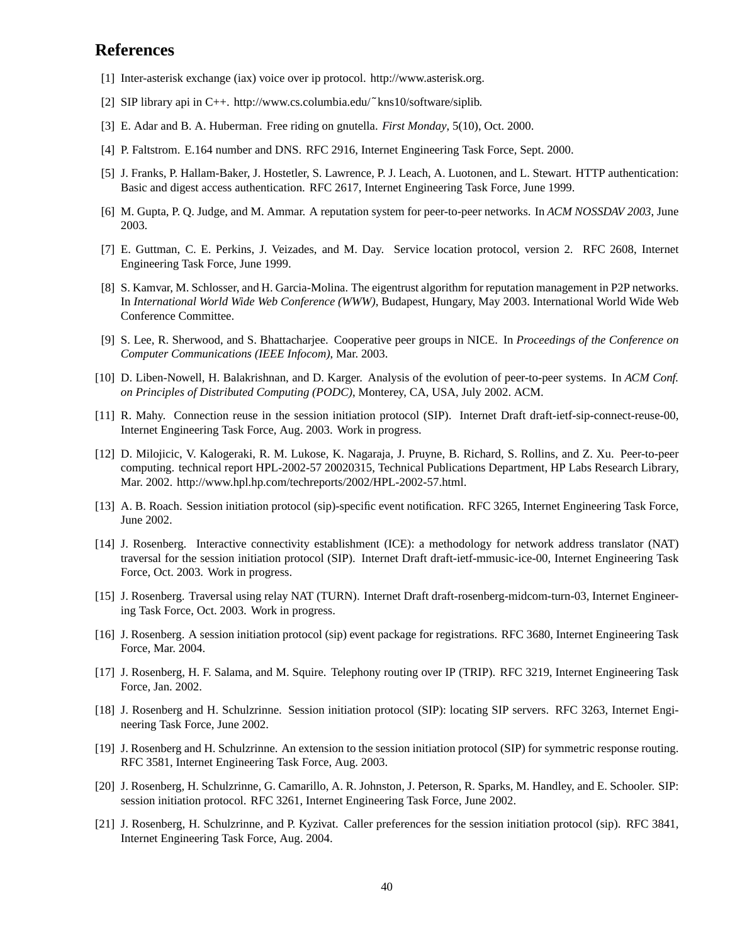# **References**

- [1] Inter-asterisk exchange (iax) voice over ip protocol. http://www.asterisk.org.
- [2] SIP library api in C++. http://www.cs.columbia.edu/˜kns10/software/siplib.
- [3] E. Adar and B. A. Huberman. Free riding on gnutella. *First Monday*, 5(10), Oct. 2000.
- [4] P. Faltstrom. E.164 number and DNS. RFC 2916, Internet Engineering Task Force, Sept. 2000.
- [5] J. Franks, P. Hallam-Baker, J. Hostetler, S. Lawrence, P. J. Leach, A. Luotonen, and L. Stewart. HTTP authentication: Basic and digest access authentication. RFC 2617, Internet Engineering Task Force, June 1999.
- [6] M. Gupta, P. Q. Judge, and M. Ammar. A reputation system for peer-to-peer networks. In *ACM NOSSDAV 2003*, June 2003.
- [7] E. Guttman, C. E. Perkins, J. Veizades, and M. Day. Service location protocol, version 2. RFC 2608, Internet Engineering Task Force, June 1999.
- [8] S. Kamvar, M. Schlosser, and H. Garcia-Molina. The eigentrust algorithm for reputation management in P2P networks. In *International World Wide Web Conference (WWW)*, Budapest, Hungary, May 2003. International World Wide Web Conference Committee.
- [9] S. Lee, R. Sherwood, and S. Bhattacharjee. Cooperative peer groups in NICE. In *Proceedings of the Conference on Computer Communications (IEEE Infocom)*, Mar. 2003.
- [10] D. Liben-Nowell, H. Balakrishnan, and D. Karger. Analysis of the evolution of peer-to-peer systems. In *ACM Conf. on Principles of Distributed Computing (PODC)*, Monterey, CA, USA, July 2002. ACM.
- [11] R. Mahy. Connection reuse in the session initiation protocol (SIP). Internet Draft draft-ietf-sip-connect-reuse-00, Internet Engineering Task Force, Aug. 2003. Work in progress.
- [12] D. Milojicic, V. Kalogeraki, R. M. Lukose, K. Nagaraja, J. Pruyne, B. Richard, S. Rollins, and Z. Xu. Peer-to-peer computing. technical report HPL-2002-57 20020315, Technical Publications Department, HP Labs Research Library, Mar. 2002. http://www.hpl.hp.com/techreports/2002/HPL-2002-57.html.
- [13] A. B. Roach. Session initiation protocol (sip)-specific event notification. RFC 3265, Internet Engineering Task Force, June 2002.
- [14] J. Rosenberg. Interactive connectivity establishment (ICE): a methodology for network address translator (NAT) traversal for the session initiation protocol (SIP). Internet Draft draft-ietf-mmusic-ice-00, Internet Engineering Task Force, Oct. 2003. Work in progress.
- [15] J. Rosenberg. Traversal using relay NAT (TURN). Internet Draft draft-rosenberg-midcom-turn-03, Internet Engineering Task Force, Oct. 2003. Work in progress.
- [16] J. Rosenberg. A session initiation protocol (sip) event package for registrations. RFC 3680, Internet Engineering Task Force, Mar. 2004.
- [17] J. Rosenberg, H. F. Salama, and M. Squire. Telephony routing over IP (TRIP). RFC 3219, Internet Engineering Task Force, Jan. 2002.
- [18] J. Rosenberg and H. Schulzrinne. Session initiation protocol (SIP): locating SIP servers. RFC 3263, Internet Engineering Task Force, June 2002.
- [19] J. Rosenberg and H. Schulzrinne. An extension to the session initiation protocol (SIP) for symmetric response routing. RFC 3581, Internet Engineering Task Force, Aug. 2003.
- [20] J. Rosenberg, H. Schulzrinne, G. Camarillo, A. R. Johnston, J. Peterson, R. Sparks, M. Handley, and E. Schooler. SIP: session initiation protocol. RFC 3261, Internet Engineering Task Force, June 2002.
- [21] J. Rosenberg, H. Schulzrinne, and P. Kyzivat. Caller preferences for the session initiation protocol (sip). RFC 3841, Internet Engineering Task Force, Aug. 2004.